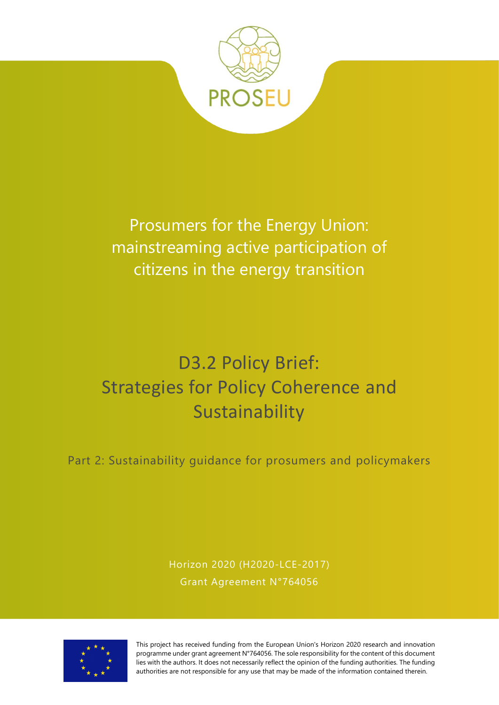

Prosumers for the Energy Union: mainstreaming active participation of citizens in the energy transition

# D3.2 Policy Brief: Strategies for Policy Coherence and Sustainability

Part 2: Sustainability guidance for prosumers and policymakers

Horizon 2020 (H2020-LCE-2017) Grant Agreement N°764056



This project has received funding from the European Union's Horizon 2020 research and innovation programme under grant agreement N°764056. The sole responsibility for the content of this document lies with the authors. It does not necessarily reflect the opinion of the funding authorities. The funding authorities are not responsible for any use that may be made of the information contained therein.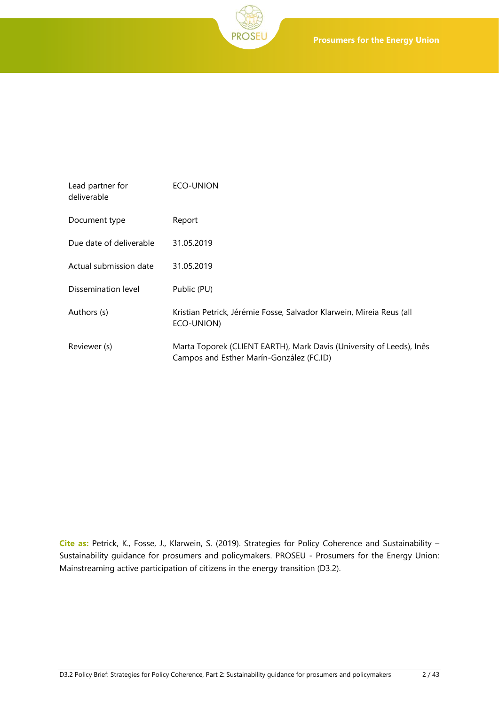

| Lead partner for<br>deliverable | ECO-UNION                                                                                                        |
|---------------------------------|------------------------------------------------------------------------------------------------------------------|
| Document type                   | Report                                                                                                           |
| Due date of deliverable         | 31.05.2019                                                                                                       |
| Actual submission date          | 31.05.2019                                                                                                       |
| Dissemination level             | Public (PU)                                                                                                      |
| Authors (s)                     | Kristian Petrick, Jérémie Fosse, Salvador Klarwein, Mireia Reus (all<br>ECO-UNION)                               |
| Reviewer (s)                    | Marta Toporek (CLIENT EARTH), Mark Davis (University of Leeds), Inês<br>Campos and Esther Marín-González (FC.ID) |

**Cite as:** Petrick, K., Fosse, J., Klarwein, S. (2019). Strategies for Policy Coherence and Sustainability – Sustainability guidance for prosumers and policymakers. PROSEU - Prosumers for the Energy Union: Mainstreaming active participation of citizens in the energy transition (D3.2).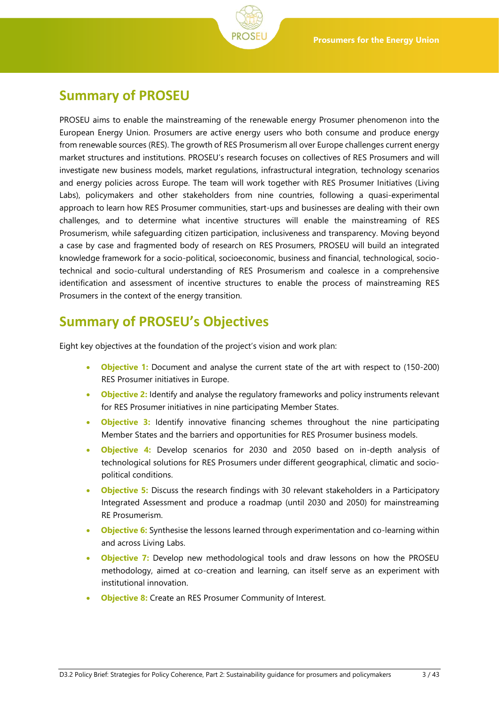<span id="page-2-0"></span>

PROSEU aims to enable the mainstreaming of the renewable energy Prosumer phenomenon into the European Energy Union. Prosumers are active energy users who both consume and produce energy from renewable sources (RES). The growth of RES Prosumerism all over Europe challenges current energy market structures and institutions. PROSEU's research focuses on collectives of RES Prosumers and will investigate new business models, market regulations, infrastructural integration, technology scenarios and energy policies across Europe. The team will work together with RES Prosumer Initiatives (Living Labs), policymakers and other stakeholders from nine countries, following a quasi-experimental approach to learn how RES Prosumer communities, start-ups and businesses are dealing with their own challenges, and to determine what incentive structures will enable the mainstreaming of RES Prosumerism, while safeguarding citizen participation, inclusiveness and transparency. Moving beyond a case by case and fragmented body of research on RES Prosumers, PROSEU will build an integrated knowledge framework for a socio-political, socioeconomic, business and financial, technological, sociotechnical and socio-cultural understanding of RES Prosumerism and coalesce in a comprehensive identification and assessment of incentive structures to enable the process of mainstreaming RES Prosumers in the context of the energy transition.

# <span id="page-2-1"></span>**Summary of PROSEU's Objectives**

Eight key objectives at the foundation of the project's vision and work plan:

- **Objective 1:** Document and analyse the current state of the art with respect to (150-200) RES Prosumer initiatives in Europe.
- **Objective 2:** Identify and analyse the regulatory frameworks and policy instruments relevant for RES Prosumer initiatives in nine participating Member States.
- **Objective 3:** Identify innovative financing schemes throughout the nine participating Member States and the barriers and opportunities for RES Prosumer business models.
- **Objective 4:** Develop scenarios for 2030 and 2050 based on in-depth analysis of technological solutions for RES Prosumers under different geographical, climatic and sociopolitical conditions.
- **Objective 5:** Discuss the research findings with 30 relevant stakeholders in a Participatory Integrated Assessment and produce a roadmap (until 2030 and 2050) for mainstreaming RE Prosumerism.
- **Objective 6:** Synthesise the lessons learned through experimentation and co-learning within and across Living Labs.
- **Objective 7:** Develop new methodological tools and draw lessons on how the PROSEU methodology, aimed at co-creation and learning, can itself serve as an experiment with institutional innovation.
- **Objective 8:** Create an RES Prosumer Community of Interest.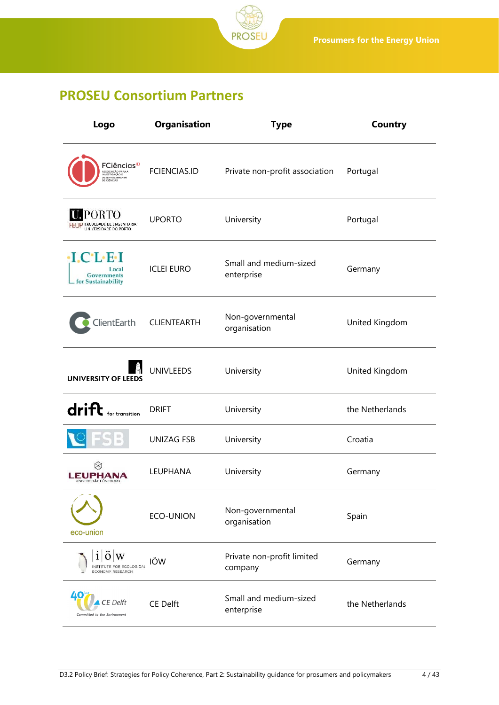

# <span id="page-3-0"></span>**PROSEU Consortium Partners**

| Logo                                                                                                    | Organisation        | <b>Type</b>                           | <b>Country</b>  |
|---------------------------------------------------------------------------------------------------------|---------------------|---------------------------------------|-----------------|
| FCiências <sup>ID</sup><br>ASSOCIAÇÃO PARA A<br>INVESTIGAÇÃO E<br>DESENVOLVIMENTO<br><b>DE CIÊNCIAS</b> | <b>FCIENCIAS.ID</b> | Private non-profit association        | Portugal        |
| <b>PORTO</b><br>FEUP FACULDADE DE ENGENHARIA<br>UNIVERSIDADE DO PORTO                                   | <b>UPORTO</b>       | University                            | Portugal        |
| $\cdot$ I.C $\cdot$ L $\cdot$ E $\cdot$ I<br>Local<br>Governments<br>for Sustainability                 | <b>ICLEI EURO</b>   | Small and medium-sized<br>enterprise  | Germany         |
| ClientEarth                                                                                             | CLIENTEARTH         | Non-governmental<br>organisation      | United Kingdom  |
| <b>UNIVERSITY OF LEEDS</b>                                                                              | <b>UNIVLEEDS</b>    | University                            | United Kingdom  |
| $drift$ for transition                                                                                  | <b>DRIFT</b>        | University                            | the Netherlands |
|                                                                                                         | <b>UNIZAG FSB</b>   | University                            | Croatia         |
| ⊗<br><b>EUPHANA</b><br><b>INIVERSITÄT LÜNEBURG</b>                                                      | LEUPHANA            | University                            | Germany         |
| eco-union                                                                                               | <b>ECO-UNION</b>    | Non-governmental<br>organisation      | Spain           |
| COLOGICAL<br><b>ECONOMY RESEARCH</b>                                                                    | IÖW                 | Private non-profit limited<br>company | Germany         |
| E Delft<br>Committed to the Environment                                                                 | <b>CE Delft</b>     | Small and medium-sized<br>enterprise  | the Netherlands |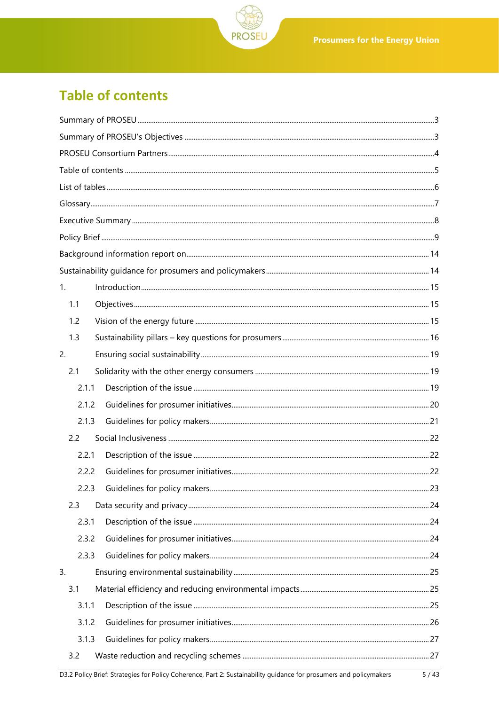

# <span id="page-4-0"></span>**Table of contents**

| 1.    |                                                                                                                    |      |
|-------|--------------------------------------------------------------------------------------------------------------------|------|
| 1.1   |                                                                                                                    |      |
| 1.2   |                                                                                                                    |      |
| 1.3   |                                                                                                                    |      |
| 2.    |                                                                                                                    |      |
| 2.1   |                                                                                                                    |      |
| 2.1.1 |                                                                                                                    |      |
| 2.1.2 |                                                                                                                    |      |
| 2.1.3 |                                                                                                                    |      |
| 2.2   |                                                                                                                    |      |
| 2.2.1 |                                                                                                                    |      |
| 2.2.2 |                                                                                                                    |      |
|       |                                                                                                                    |      |
| 2.3   |                                                                                                                    |      |
| 2.3.1 |                                                                                                                    |      |
| 2.3.2 |                                                                                                                    |      |
| 2.3.3 |                                                                                                                    |      |
| 3.    |                                                                                                                    |      |
| 3.1   |                                                                                                                    |      |
| 3.1.1 |                                                                                                                    |      |
| 3.1.2 |                                                                                                                    |      |
| 3.1.3 |                                                                                                                    |      |
| 3.2   |                                                                                                                    |      |
|       | D3.2 Policy Brief: Strategies for Policy Coherence, Part 2: Sustainability guidance for prosumers and policymakers | 5/43 |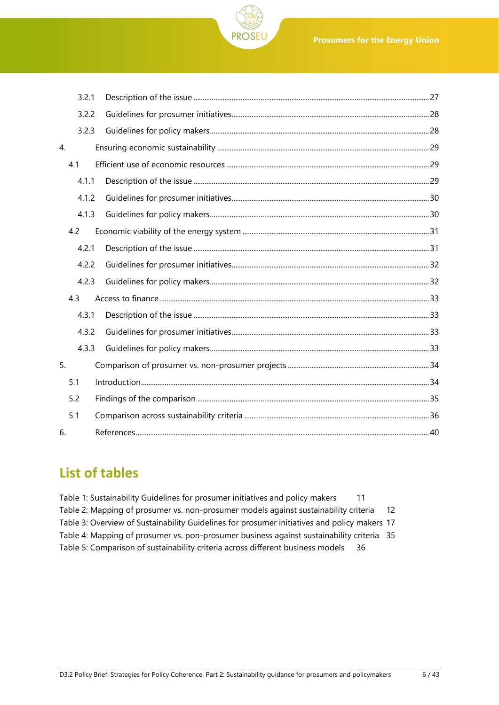

|    | 3.2.1 |  |
|----|-------|--|
|    | 3.2.2 |  |
|    | 3.2.3 |  |
| 4. |       |  |
|    | 4.1   |  |
|    | 4.1.1 |  |
|    | 4.1.2 |  |
|    | 4.1.3 |  |
|    | 4.2   |  |
|    | 4.2.1 |  |
|    | 4.2.2 |  |
|    | 4.2.3 |  |
|    | 4.3   |  |
|    | 4.3.1 |  |
|    | 4.3.2 |  |
|    | 4.3.3 |  |
| 5. |       |  |
|    | 5.1   |  |
|    | 5.2   |  |
|    | 5.1   |  |
| 6. |       |  |

# <span id="page-5-0"></span>**List of tables**

| Table 1: Sustainability Guidelines for prosumer initiatives and policy makers                |       |
|----------------------------------------------------------------------------------------------|-------|
| Table 2: Mapping of prosumer vs. non-prosumer models against sustainability criteria         | $-12$ |
| Table 3: Overview of Sustainability Guidelines for prosumer initiatives and policy makers 17 |       |
| Table 4: Mapping of prosumer vs. pon-prosumer business against sustainability criteria 35    |       |
| Table 5: Comparison of sustainability criteria across different business models<br>-36       |       |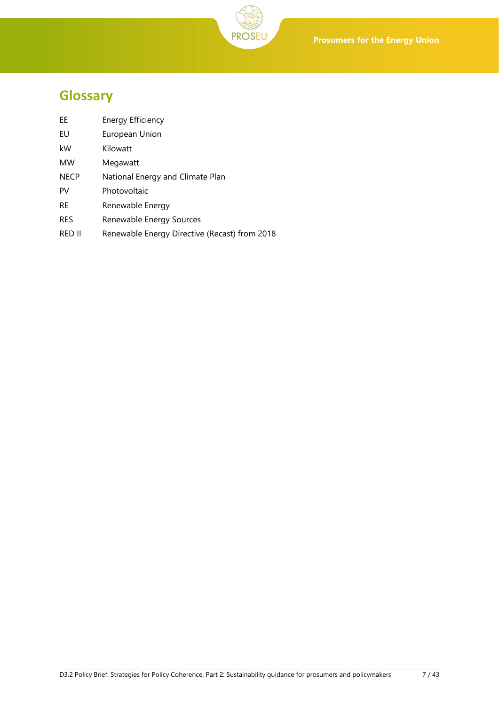<span id="page-6-0"></span>

| ЕE | <b>Energy Efficiency</b> |
|----|--------------------------|
|----|--------------------------|

- EU European Union
- kW Kilowatt
- MW Megawatt
- NECP National Energy and Climate Plan
- PV Photovoltaic
- RE Renewable Energy
- RES Renewable Energy Sources
- RED II Renewable Energy Directive (Recast) from 2018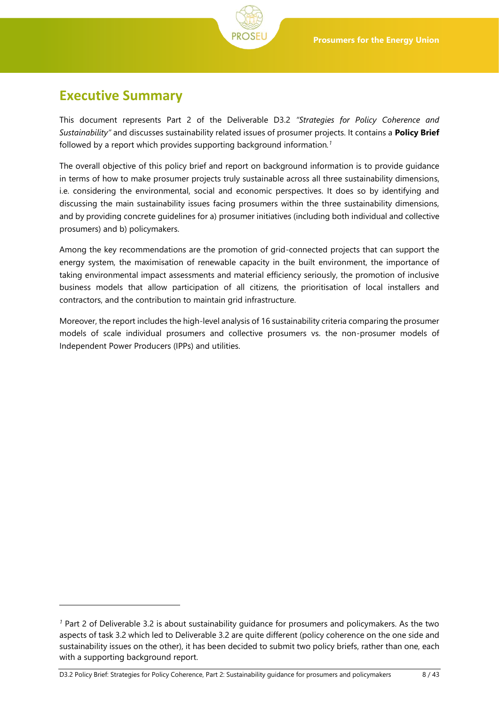<span id="page-7-0"></span>

l

This document represents Part 2 of the Deliverable D3.2 *"Strategies for Policy Coherence and Sustainability"* and discusses sustainability related issues of prosumer projects. It contains a **Policy Brief** followed by a report which provides supporting background information*. 1*

The overall objective of this policy brief and report on background information is to provide guidance in terms of how to make prosumer projects truly sustainable across all three sustainability dimensions, i.e. considering the environmental, social and economic perspectives. It does so by identifying and discussing the main sustainability issues facing prosumers within the three sustainability dimensions, and by providing concrete guidelines for a) prosumer initiatives (including both individual and collective prosumers) and b) policymakers.

Among the key recommendations are the promotion of grid-connected projects that can support the energy system, the maximisation of renewable capacity in the built environment, the importance of taking environmental impact assessments and material efficiency seriously, the promotion of inclusive business models that allow participation of all citizens, the prioritisation of local installers and contractors, and the contribution to maintain grid infrastructure.

Moreover, the report includes the high-level analysis of 16 sustainability criteria comparing the prosumer models of scale individual prosumers and collective prosumers vs. the non-prosumer models of Independent Power Producers (IPPs) and utilities.

*<sup>1</sup>* Part 2 of Deliverable 3.2 is about sustainability guidance for prosumers and policymakers. As the two aspects of task 3.2 which led to Deliverable 3.2 are quite different (policy coherence on the one side and sustainability issues on the other), it has been decided to submit two policy briefs, rather than one, each with a supporting background report.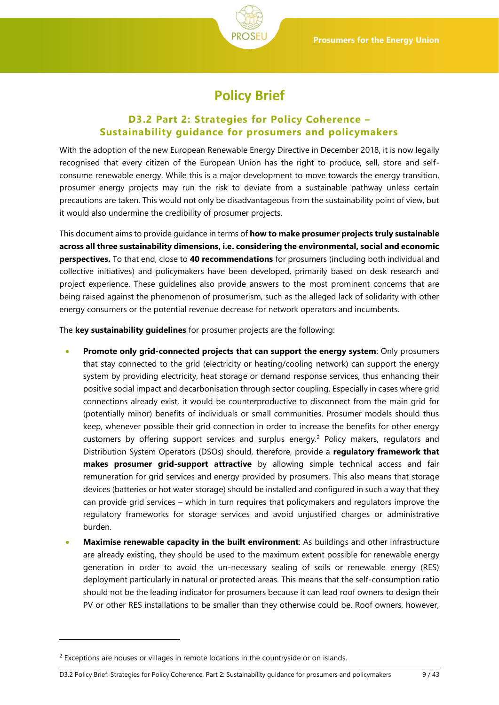

# **Policy Brief**

## <span id="page-8-0"></span>**D3.2 Part 2: Strategies for Policy Coherence – Sustainability guidance for prosumers and policymakers**

With the adoption of the new European Renewable Energy Directive in December 2018, it is now legally recognised that every citizen of the European Union has the right to produce, sell, store and selfconsume renewable energy. While this is a major development to move towards the energy transition, prosumer energy projects may run the risk to deviate from a sustainable pathway unless certain precautions are taken. This would not only be disadvantageous from the sustainability point of view, but it would also undermine the credibility of prosumer projects.

This document aims to provide guidance in terms of **how to make prosumer projects truly sustainable across all three sustainability dimensions, i.e. considering the environmental, social and economic perspectives.** To that end, close to **40 recommendations** for prosumers (including both individual and collective initiatives) and policymakers have been developed, primarily based on desk research and project experience. These guidelines also provide answers to the most prominent concerns that are being raised against the phenomenon of prosumerism, such as the alleged lack of solidarity with other energy consumers or the potential revenue decrease for network operators and incumbents.

The **key sustainability guidelines** for prosumer projects are the following:

- **Promote only grid-connected projects that can support the energy system**: Only prosumers that stay connected to the grid (electricity or heating/cooling network) can support the energy system by providing electricity, heat storage or demand response services, thus enhancing their positive social impact and decarbonisation through sector coupling. Especially in cases where grid connections already exist, it would be counterproductive to disconnect from the main grid for (potentially minor) benefits of individuals or small communities. Prosumer models should thus keep, whenever possible their grid connection in order to increase the benefits for other energy customers by offering support services and surplus energy.<sup>2</sup> Policy makers, regulators and Distribution System Operators (DSOs) should, therefore, provide a **regulatory framework that makes prosumer grid-support attractive** by allowing simple technical access and fair remuneration for grid services and energy provided by prosumers. This also means that storage devices (batteries or hot water storage) should be installed and configured in such a way that they can provide grid services – which in turn requires that policymakers and regulators improve the regulatory frameworks for storage services and avoid unjustified charges or administrative burden.
- **Maximise renewable capacity in the built environment**: As buildings and other infrastructure are already existing, they should be used to the maximum extent possible for renewable energy generation in order to avoid the un-necessary sealing of soils or renewable energy (RES) deployment particularly in natural or protected areas. This means that the self-consumption ratio should not be the leading indicator for prosumers because it can lead roof owners to design their PV or other RES installations to be smaller than they otherwise could be. Roof owners, however,

l

<sup>&</sup>lt;sup>2</sup> Exceptions are houses or villages in remote locations in the countryside or on islands.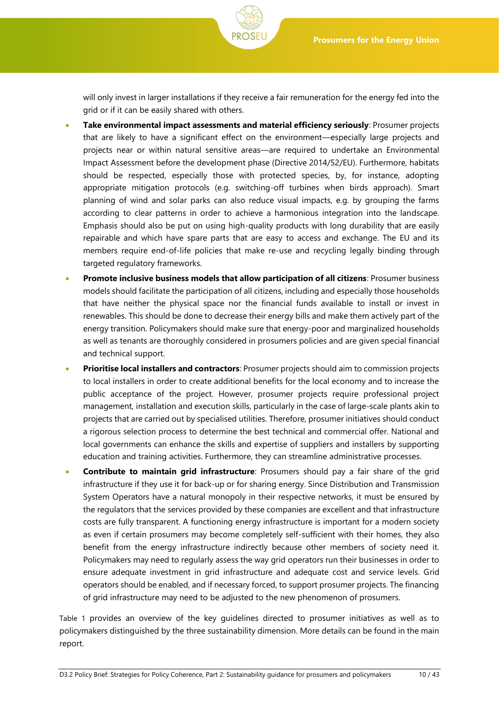will only invest in larger installations if they receive a fair remuneration for the energy fed into the grid or if it can be easily shared with others.

- **Take environmental impact assessments and material efficiency seriously**: Prosumer projects that are likely to have a significant effect on the environment—especially large projects and projects near or within natural sensitive areas—are required to undertake an Environmental Impact Assessment before the development phase (Directive 2014/52/EU). Furthermore, habitats should be respected, especially those with protected species, by, for instance, adopting appropriate mitigation protocols (e.g. switching-off turbines when birds approach). Smart planning of wind and solar parks can also reduce visual impacts, e.g. by grouping the farms according to clear patterns in order to achieve a harmonious integration into the landscape. Emphasis should also be put on using high-quality products with long durability that are easily repairable and which have spare parts that are easy to access and exchange. The EU and its members require end-of-life policies that make re-use and recycling legally binding through targeted regulatory frameworks.
- **Promote inclusive business models that allow participation of all citizens**: Prosumer business models should facilitate the participation of all citizens, including and especially those households that have neither the physical space nor the financial funds available to install or invest in renewables. This should be done to decrease their energy bills and make them actively part of the energy transition. Policymakers should make sure that energy-poor and marginalized households as well as tenants are thoroughly considered in prosumers policies and are given special financial and technical support.
- **Prioritise local installers and contractors**: Prosumer projects should aim to commission projects to local installers in order to create additional benefits for the local economy and to increase the public acceptance of the project. However, prosumer projects require professional project management, installation and execution skills, particularly in the case of large-scale plants akin to projects that are carried out by specialised utilities. Therefore, prosumer initiatives should conduct a rigorous selection process to determine the best technical and commercial offer. National and local governments can enhance the skills and expertise of suppliers and installers by supporting education and training activities. Furthermore, they can streamline administrative processes.
- **Contribute to maintain grid infrastructure**: Prosumers should pay a fair share of the grid infrastructure if they use it for back-up or for sharing energy. Since Distribution and Transmission System Operators have a natural monopoly in their respective networks, it must be ensured by the regulators that the services provided by these companies are excellent and that infrastructure costs are fully transparent. A functioning energy infrastructure is important for a modern society as even if certain prosumers may become completely self-sufficient with their homes, they also benefit from the energy infrastructure indirectly because other members of society need it. Policymakers may need to regularly assess the way grid operators run their businesses in order to ensure adequate investment in grid infrastructure and adequate cost and service levels. Grid operators should be enabled, and if necessary forced, to support prosumer projects. The financing of grid infrastructure may need to be adjusted to the new phenomenon of prosumers.

[Table 1](#page-10-0) provides an overview of the key guidelines directed to prosumer initiatives as well as to policymakers distinguished by the three sustainability dimension. More details can be found in the main report.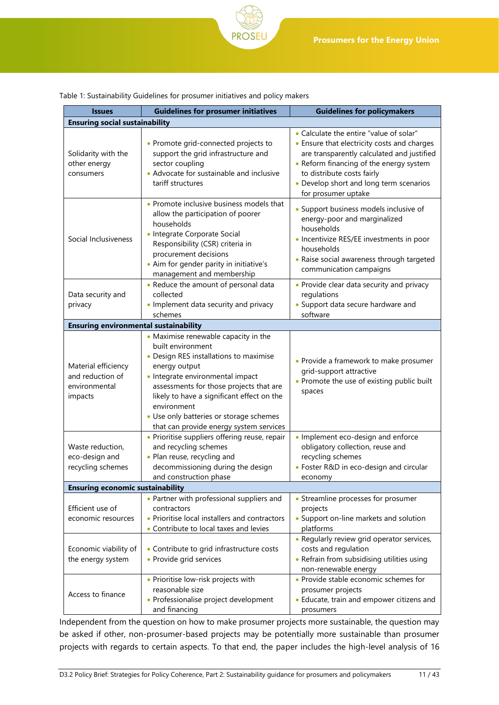<span id="page-10-0"></span>

| Table 1: Sustainability Guidelines for prosumer initiatives and policy makers |  |  |
|-------------------------------------------------------------------------------|--|--|
|                                                                               |  |  |

| <b>Issues</b>                                                       | <b>Guidelines for prosumer initiatives</b>                                                                                                                                                                                                                                                                                                             | <b>Guidelines for policymakers</b>                                                                                                                                                                                                                                              |  |  |  |
|---------------------------------------------------------------------|--------------------------------------------------------------------------------------------------------------------------------------------------------------------------------------------------------------------------------------------------------------------------------------------------------------------------------------------------------|---------------------------------------------------------------------------------------------------------------------------------------------------------------------------------------------------------------------------------------------------------------------------------|--|--|--|
|                                                                     | <b>Ensuring social sustainability</b>                                                                                                                                                                                                                                                                                                                  |                                                                                                                                                                                                                                                                                 |  |  |  |
| Solidarity with the<br>other energy<br>consumers                    | • Promote grid-connected projects to<br>support the grid infrastructure and<br>sector coupling<br>• Advocate for sustainable and inclusive<br>tariff structures                                                                                                                                                                                        | • Calculate the entire "value of solar"<br>• Ensure that electricity costs and charges<br>are transparently calculated and justified<br>• Reform financing of the energy system<br>to distribute costs fairly<br>• Develop short and long term scenarios<br>for prosumer uptake |  |  |  |
| Social Inclusiveness                                                | • Promote inclusive business models that<br>allow the participation of poorer<br>households<br>· Integrate Corporate Social<br>Responsibility (CSR) criteria in<br>procurement decisions<br>• Aim for gender parity in initiative's<br>management and membership                                                                                       | • Support business models inclusive of<br>energy-poor and marginalized<br>households<br>• Incentivize RES/EE investments in poor<br>households<br>• Raise social awareness through targeted<br>communication campaigns                                                          |  |  |  |
| Data security and<br>privacy                                        | • Reduce the amount of personal data<br>collected<br>• Implement data security and privacy<br>schemes                                                                                                                                                                                                                                                  | • Provide clear data security and privacy<br>regulations<br>• Support data secure hardware and<br>software                                                                                                                                                                      |  |  |  |
| <b>Ensuring environmental sustainability</b>                        |                                                                                                                                                                                                                                                                                                                                                        |                                                                                                                                                                                                                                                                                 |  |  |  |
| Material efficiency<br>and reduction of<br>environmental<br>impacts | • Maximise renewable capacity in the<br>built environment<br>• Design RES installations to maximise<br>energy output<br>· Integrate environmental impact<br>assessments for those projects that are<br>likely to have a significant effect on the<br>environment<br>• Use only batteries or storage schemes<br>that can provide energy system services | • Provide a framework to make prosumer<br>grid-support attractive<br>• Promote the use of existing public built<br>spaces                                                                                                                                                       |  |  |  |
| Waste reduction,<br>eco-design and<br>recycling schemes             | · Prioritise suppliers offering reuse, repair<br>and recycling schemes<br>• Plan reuse, recycling and<br>decommissioning during the design<br>and construction phase                                                                                                                                                                                   | · Implement eco-design and enforce<br>obligatory collection, reuse and<br>recycling schemes<br>• Foster R&D in eco-design and circular<br>economy                                                                                                                               |  |  |  |
| <b>Ensuring economic sustainability</b>                             |                                                                                                                                                                                                                                                                                                                                                        |                                                                                                                                                                                                                                                                                 |  |  |  |
| Efficient use of<br>economic resources                              | • Partner with professional suppliers and<br>contractors<br>• Prioritise local installers and contractors<br>• Contribute to local taxes and levies                                                                                                                                                                                                    | • Streamline processes for prosumer<br>projects<br>• Support on-line markets and solution<br>platforms                                                                                                                                                                          |  |  |  |
| Economic viability of<br>the energy system                          | • Contribute to grid infrastructure costs<br>• Provide grid services                                                                                                                                                                                                                                                                                   | • Regularly review grid operator services,<br>costs and regulation<br>• Refrain from subsidising utilities using<br>non-renewable energy                                                                                                                                        |  |  |  |
| Access to finance                                                   | • Prioritise low-risk projects with<br>reasonable size<br>• Professionalise project development<br>and financing                                                                                                                                                                                                                                       | • Provide stable economic schemes for<br>prosumer projects<br>• Educate, train and empower citizens and<br>prosumers                                                                                                                                                            |  |  |  |

Independent from the question on how to make prosumer projects more sustainable, the question may be asked if other, non-prosumer-based projects may be potentially more sustainable than prosumer projects with regards to certain aspects. To that end, the paper includes the high-level analysis of 16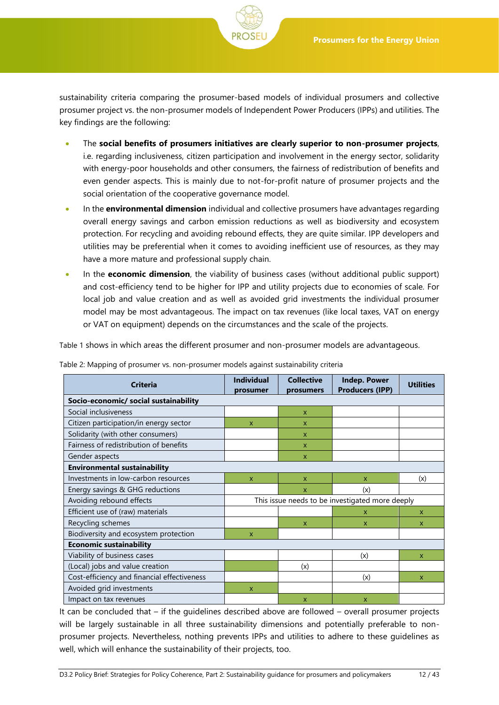sustainability criteria comparing the prosumer-based models of individual prosumers and collective prosumer project vs. the non-prosumer models of Independent Power Producers (IPPs) and utilities. The key findings are the following:

- The **social benefits of prosumers initiatives are clearly superior to non-prosumer projects**, i.e. regarding inclusiveness, citizen participation and involvement in the energy sector, solidarity with energy-poor households and other consumers, the fairness of redistribution of benefits and even gender aspects. This is mainly due to not-for-profit nature of prosumer projects and the social orientation of the cooperative governance model.
- In the **environmental dimension** individual and collective prosumers have advantages regarding overall energy savings and carbon emission reductions as well as biodiversity and ecosystem protection. For recycling and avoiding rebound effects, they are quite similar. IPP developers and utilities may be preferential when it comes to avoiding inefficient use of resources, as they may have a more mature and professional supply chain.
- In the **economic dimension**, the viability of business cases (without additional public support) and cost-efficiency tend to be higher for IPP and utility projects due to economies of scale. For local job and value creation and as well as avoided grid investments the individual prosumer model may be most advantageous. The impact on tax revenues (like local taxes, VAT on energy or VAT on equipment) depends on the circumstances and the scale of the projects.

[Table 1](#page-10-0) shows in which areas the different prosumer and non-prosumer models are advantageous.

| <b>Criteria</b>                             | <b>Individual</b><br>prosumer                   | <b>Collective</b><br>prosumers | <b>Indep. Power</b><br><b>Producers (IPP)</b> | <b>Utilities</b> |
|---------------------------------------------|-------------------------------------------------|--------------------------------|-----------------------------------------------|------------------|
| Socio-economic/ social sustainability       |                                                 |                                |                                               |                  |
| Social inclusiveness                        |                                                 | $\boldsymbol{\mathsf{x}}$      |                                               |                  |
| Citizen participation/in energy sector      | X                                               | $\mathsf{x}$                   |                                               |                  |
| Solidarity (with other consumers)           |                                                 | $\mathsf{x}$                   |                                               |                  |
| Fairness of redistribution of benefits      |                                                 | $\mathsf{x}$                   |                                               |                  |
| Gender aspects                              |                                                 | $\mathsf{x}$                   |                                               |                  |
| <b>Environmental sustainability</b>         |                                                 |                                |                                               |                  |
| Investments in low-carbon resources         | X                                               | $\mathsf{x}$                   | X                                             | (x)              |
| Energy savings & GHG reductions             |                                                 | $\mathsf{x}$                   | (x)                                           |                  |
| Avoiding rebound effects                    | This issue needs to be investigated more deeply |                                |                                               |                  |
| Efficient use of (raw) materials            |                                                 |                                | X                                             | $\mathsf{x}$     |
| Recycling schemes                           |                                                 | $\mathsf{x}$                   | $\mathsf{x}$                                  | X                |
| Biodiversity and ecosystem protection       | X                                               |                                |                                               |                  |
| <b>Economic sustainability</b>              |                                                 |                                |                                               |                  |
| Viability of business cases                 |                                                 |                                | (x)                                           | X                |
| (Local) jobs and value creation             |                                                 | (x)                            |                                               |                  |
| Cost-efficiency and financial effectiveness |                                                 |                                | (x)                                           | $\mathbf{x}$     |
| Avoided grid investments                    | X                                               |                                |                                               |                  |
| Impact on tax revenues                      |                                                 | $\mathsf{x}$                   | $\mathsf{x}$                                  |                  |

<span id="page-11-0"></span>Table 2: Mapping of prosumer vs. non-prosumer models against sustainability criteria

It can be concluded that – if the guidelines described above are followed – overall prosumer projects will be largely sustainable in all three sustainability dimensions and potentially preferable to nonprosumer projects. Nevertheless, nothing prevents IPPs and utilities to adhere to these guidelines as well, which will enhance the sustainability of their projects, too.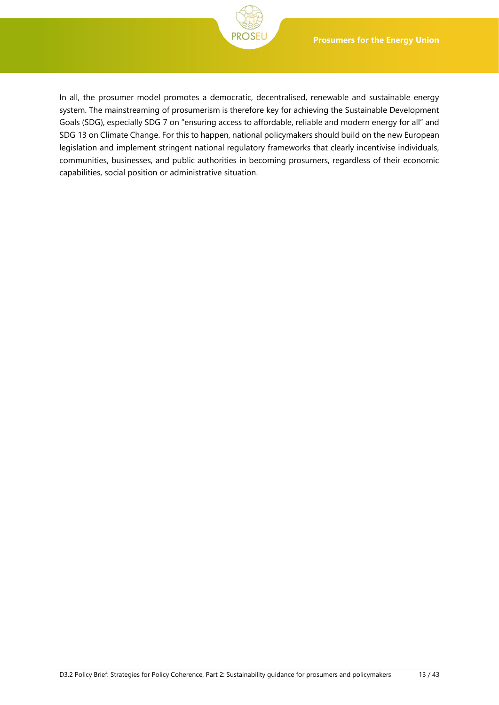

In all, the prosumer model promotes a democratic, decentralised, renewable and sustainable energy system. The mainstreaming of prosumerism is therefore key for achieving the Sustainable Development Goals (SDG), especially SDG 7 on "ensuring access to affordable, reliable and modern energy for all" and SDG 13 on Climate Change. For this to happen, national policymakers should build on the new European legislation and implement stringent national regulatory frameworks that clearly incentivise individuals, communities, businesses, and public authorities in becoming prosumers, regardless of their economic capabilities, social position or administrative situation.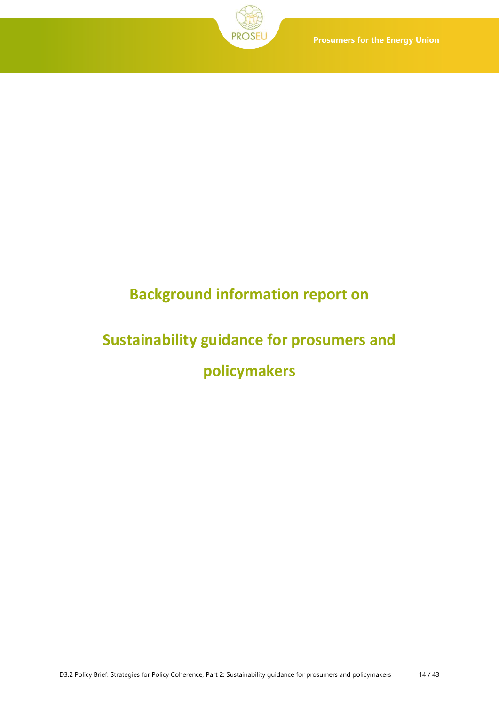# **Background information report on**

# <span id="page-13-1"></span><span id="page-13-0"></span>**Sustainability guidance for prosumers and policymakers**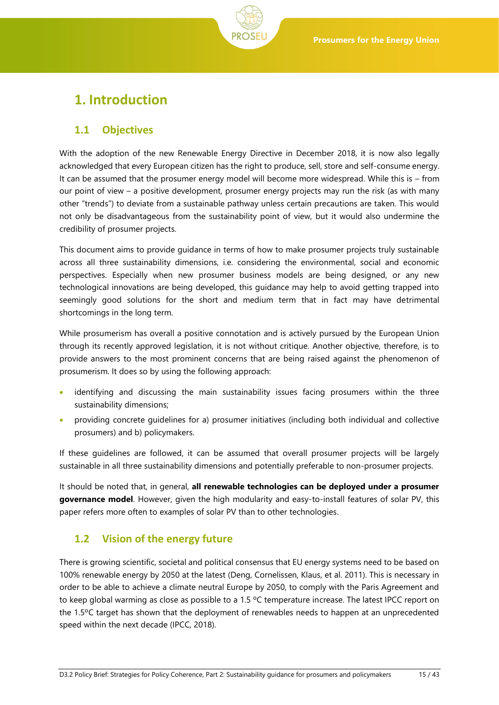# <span id="page-14-0"></span>**1. Introduction**

## <span id="page-14-1"></span>**1.1 Objectives**

With the adoption of the new Renewable Energy Directive in December 2018, it is now also legally acknowledged that every European citizen has the right to produce, sell, store and self-consume energy. It can be assumed that the prosumer energy model will become more widespread. While this is – from our point of view – a positive development, prosumer energy projects may run the risk (as with many other "trends") to deviate from a sustainable pathway unless certain precautions are taken. This would not only be disadvantageous from the sustainability point of view, but it would also undermine the credibility of prosumer projects.

This document aims to provide guidance in terms of how to make prosumer projects truly sustainable across all three sustainability dimensions, i.e. considering the environmental, social and economic perspectives. Especially when new prosumer business models are being designed, or any new technological innovations are being developed, this guidance may help to avoid getting trapped into seemingly good solutions for the short and medium term that in fact may have detrimental shortcomings in the long term.

While prosumerism has overall a positive connotation and is actively pursued by the European Union through its recently approved legislation, it is not without critique. Another objective, therefore, is to provide answers to the most prominent concerns that are being raised against the phenomenon of prosumerism. It does so by using the following approach:

- identifying and discussing the main sustainability issues facing prosumers within the three sustainability dimensions;
- providing concrete guidelines for a) prosumer initiatives (including both individual and collective prosumers) and b) policymakers.

If these guidelines are followed, it can be assumed that overall prosumer projects will be largely sustainable in all three sustainability dimensions and potentially preferable to non-prosumer projects.

It should be noted that, in general, **all renewable technologies can be deployed under a prosumer governance model**. However, given the high modularity and easy-to-install features of solar PV, this paper refers more often to examples of solar PV than to other technologies.

## <span id="page-14-2"></span>**1.2 Vision of the energy future**

There is growing scientific, societal and political consensus that EU energy systems need to be based on 100% renewable energy by 2050 at the latest (Deng, Cornelissen, Klaus, et al. 2011). This is necessary in order to be able to achieve a climate neutral Europe by 2050, to comply with the Paris Agreement and to keep global warming as close as possible to a 1.5 ºC temperature increase. The latest IPCC report on the 1.5ºC target has shown that the deployment of renewables needs to happen at an unprecedented speed within the next decade (IPCC, 2018).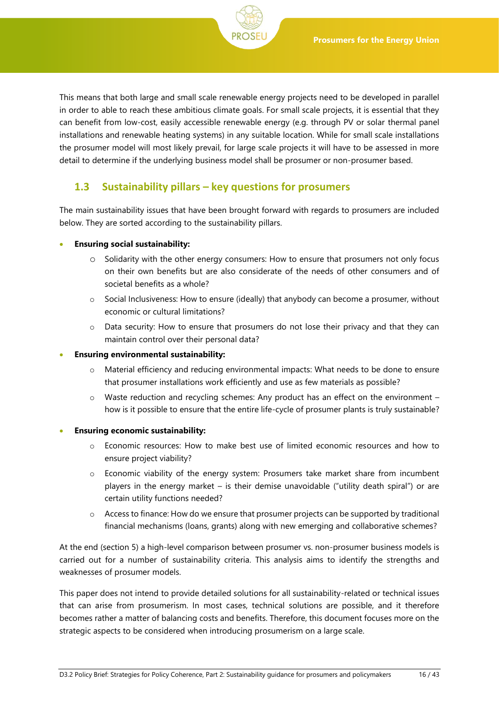

This means that both large and small scale renewable energy projects need to be developed in parallel in order to able to reach these ambitious climate goals. For small scale projects, it is essential that they can benefit from low-cost, easily accessible renewable energy (e.g. through PV or solar thermal panel installations and renewable heating systems) in any suitable location. While for small scale installations the prosumer model will most likely prevail, for large scale projects it will have to be assessed in more detail to determine if the underlying business model shall be prosumer or non-prosumer based.

## <span id="page-15-0"></span>**1.3 Sustainability pillars – key questions for prosumers**

The main sustainability issues that have been brought forward with regards to prosumers are included below. They are sorted according to the sustainability pillars.

#### • **Ensuring social sustainability:**

- o Solidarity with the other energy consumers: How to ensure that prosumers not only focus on their own benefits but are also considerate of the needs of other consumers and of societal benefits as a whole?
- o Social Inclusiveness: How to ensure (ideally) that anybody can become a prosumer, without economic or cultural limitations?
- $\circ$  Data security: How to ensure that prosumers do not lose their privacy and that they can maintain control over their personal data?

#### • **Ensuring environmental sustainability:**

- o Material efficiency and reducing environmental impacts: What needs to be done to ensure that prosumer installations work efficiently and use as few materials as possible?
- $\circ$  Waste reduction and recycling schemes: Any product has an effect on the environment how is it possible to ensure that the entire life-cycle of prosumer plants is truly sustainable?

#### • **Ensuring economic sustainability:**

- o Economic resources: How to make best use of limited economic resources and how to ensure project viability?
- o Economic viability of the energy system: Prosumers take market share from incumbent players in the energy market – is their demise unavoidable ("utility death spiral") or are certain utility functions needed?
- $\circ$  Access to finance: How do we ensure that prosumer projects can be supported by traditional financial mechanisms (loans, grants) along with new emerging and collaborative schemes?

At the end (section [5\)](#page-33-0) a high-level comparison between prosumer vs. non-prosumer business models is carried out for a number of sustainability criteria. This analysis aims to identify the strengths and weaknesses of prosumer models.

This paper does not intend to provide detailed solutions for all sustainability-related or technical issues that can arise from prosumerism. In most cases, technical solutions are possible, and it therefore becomes rather a matter of balancing costs and benefits. Therefore, this document focuses more on the strategic aspects to be considered when introducing prosumerism on a large scale.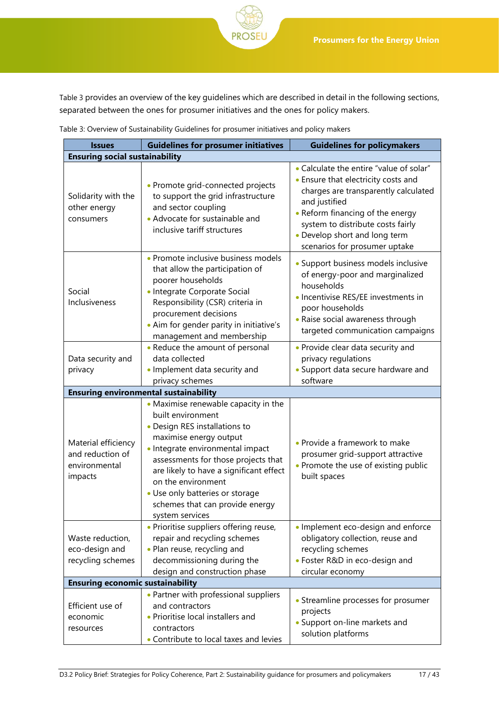[Table 3](#page-16-0) provides an overview of the key guidelines which are described in detail in the following sections, separated between the ones for prosumer initiatives and the ones for policy makers.

| <b>Issues</b>                                                       | <b>Guidelines for prosumer initiatives</b>                                                                                                                                                                                                                                                                                                                | <b>Guidelines for policymakers</b>                                                                                                                                                                                                                                                 |  |  |  |
|---------------------------------------------------------------------|-----------------------------------------------------------------------------------------------------------------------------------------------------------------------------------------------------------------------------------------------------------------------------------------------------------------------------------------------------------|------------------------------------------------------------------------------------------------------------------------------------------------------------------------------------------------------------------------------------------------------------------------------------|--|--|--|
| <b>Ensuring social sustainability</b>                               |                                                                                                                                                                                                                                                                                                                                                           |                                                                                                                                                                                                                                                                                    |  |  |  |
| Solidarity with the<br>other energy<br>consumers                    | • Promote grid-connected projects<br>to support the grid infrastructure<br>and sector coupling<br>• Advocate for sustainable and<br>inclusive tariff structures                                                                                                                                                                                           | • Calculate the entire "value of solar"<br>• Ensure that electricity costs and<br>charges are transparently calculated<br>and justified<br>• Reform financing of the energy<br>system to distribute costs fairly<br>• Develop short and long term<br>scenarios for prosumer uptake |  |  |  |
| Social<br>Inclusiveness                                             | • Promote inclusive business models<br>that allow the participation of<br>poorer households<br>· Integrate Corporate Social<br>Responsibility (CSR) criteria in<br>procurement decisions<br>• Aim for gender parity in initiative's<br>management and membership                                                                                          | • Support business models inclusive<br>of energy-poor and marginalized<br>households<br>· Incentivise RES/EE investments in<br>poor households<br>• Raise social awareness through<br>targeted communication campaigns                                                             |  |  |  |
| Data security and<br>privacy                                        | • Reduce the amount of personal<br>data collected<br>. Implement data security and<br>privacy schemes                                                                                                                                                                                                                                                     | • Provide clear data security and<br>privacy regulations<br>• Support data secure hardware and<br>software                                                                                                                                                                         |  |  |  |
|                                                                     | <b>Ensuring environmental sustainability</b>                                                                                                                                                                                                                                                                                                              |                                                                                                                                                                                                                                                                                    |  |  |  |
| Material efficiency<br>and reduction of<br>environmental<br>impacts | • Maximise renewable capacity in the<br>built environment<br>• Design RES installations to<br>maximise energy output<br>· Integrate environmental impact<br>assessments for those projects that<br>are likely to have a significant effect<br>on the environment<br>• Use only batteries or storage<br>schemes that can provide energy<br>system services | • Provide a framework to make<br>prosumer grid-support attractive<br>• Promote the use of existing public<br>built spaces                                                                                                                                                          |  |  |  |
| Waste reduction,<br>eco-design and<br>recycling schemes             | · Prioritise suppliers offering reuse,<br>repair and recycling schemes<br>• Plan reuse, recycling and<br>decommissioning during the<br>design and construction phase                                                                                                                                                                                      | • Implement eco-design and enforce<br>obligatory collection, reuse and<br>recycling schemes<br>• Foster R&D in eco-design and<br>circular economy                                                                                                                                  |  |  |  |
| <b>Ensuring economic sustainability</b>                             |                                                                                                                                                                                                                                                                                                                                                           |                                                                                                                                                                                                                                                                                    |  |  |  |
| Efficient use of<br>economic<br>resources                           | • Partner with professional suppliers<br>and contractors<br>• Prioritise local installers and<br>contractors<br>• Contribute to local taxes and levies                                                                                                                                                                                                    | • Streamline processes for prosumer<br>projects<br>• Support on-line markets and<br>solution platforms                                                                                                                                                                             |  |  |  |

<span id="page-16-0"></span>

| Table 3: Overview of Sustainability Guidelines for prosumer initiatives and policy makers |  |  |
|-------------------------------------------------------------------------------------------|--|--|
|                                                                                           |  |  |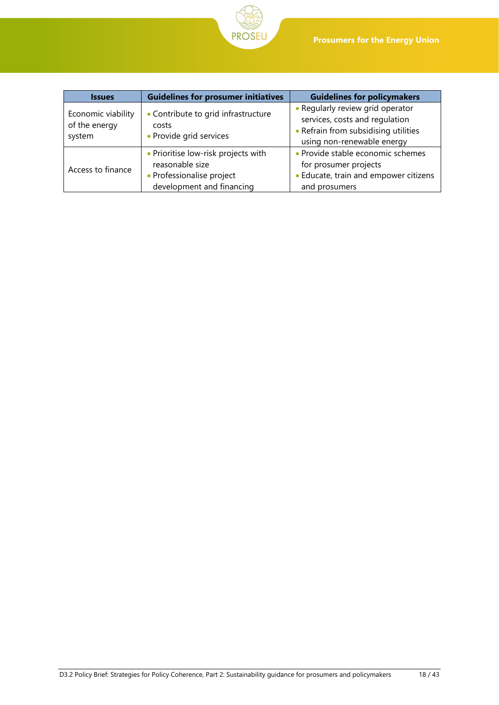

| <b>Issues</b>                                 | <b>Guidelines for prosumer initiatives</b>                                                                       | <b>Guidelines for policymakers</b>                                                                                                       |
|-----------------------------------------------|------------------------------------------------------------------------------------------------------------------|------------------------------------------------------------------------------------------------------------------------------------------|
| Economic viability<br>of the energy<br>system | • Contribute to grid infrastructure<br>costs<br>• Provide grid services                                          | • Regularly review grid operator<br>services, costs and regulation<br>• Refrain from subsidising utilities<br>using non-renewable energy |
| Access to finance                             | • Prioritise low-risk projects with<br>reasonable size<br>• Professionalise project<br>development and financing | • Provide stable economic schemes<br>for prosumer projects<br>• Educate, train and empower citizens<br>and prosumers                     |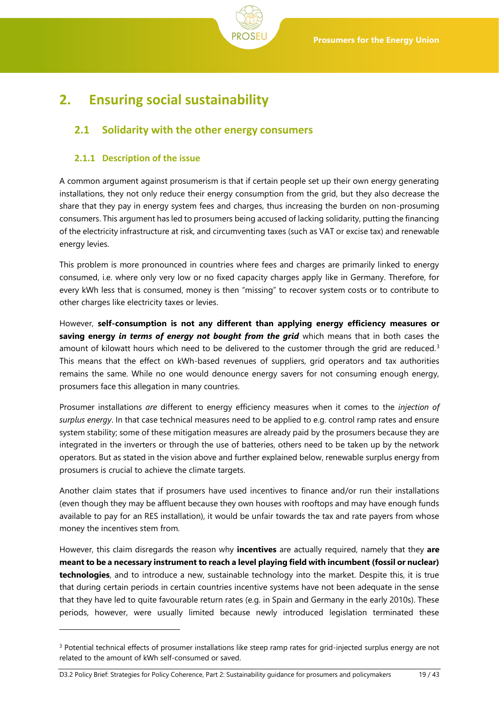

# <span id="page-18-0"></span>**2. Ensuring social sustainability**

## <span id="page-18-1"></span>**2.1 Solidarity with the other energy consumers**

## <span id="page-18-2"></span>**2.1.1 Description of the issue**

A common argument against prosumerism is that if certain people set up their own energy generating installations, they not only reduce their energy consumption from the grid, but they also decrease the share that they pay in energy system fees and charges, thus increasing the burden on non-prosuming consumers. This argument has led to prosumers being accused of lacking solidarity, putting the financing of the electricity infrastructure at risk, and circumventing taxes (such as VAT or excise tax) and renewable energy levies.

This problem is more pronounced in countries where fees and charges are primarily linked to energy consumed, i.e. where only very low or no fixed capacity charges apply like in Germany. Therefore, for every kWh less that is consumed, money is then "missing" to recover system costs or to contribute to other charges like electricity taxes or levies.

However, **self-consumption is not any different than applying energy efficiency measures or saving energy** *in terms of energy not bought from the grid* which means that in both cases the amount of kilowatt hours which need to be delivered to the customer through the grid are reduced. $3$ This means that the effect on kWh-based revenues of suppliers, grid operators and tax authorities remains the same. While no one would denounce energy savers for not consuming enough energy, prosumers face this allegation in many countries.

Prosumer installations *are* different to energy efficiency measures when it comes to the *injection of surplus energy*. In that case technical measures need to be applied to e.g. control ramp rates and ensure system stability; some of these mitigation measures are already paid by the prosumers because they are integrated in the inverters or through the use of batteries, others need to be taken up by the network operators. But as stated in the vision above and further explained below, renewable surplus energy from prosumers is crucial to achieve the climate targets.

Another claim states that if prosumers have used incentives to finance and/or run their installations (even though they may be affluent because they own houses with rooftops and may have enough funds available to pay for an RES installation), it would be unfair towards the tax and rate payers from whose money the incentives stem from.

However, this claim disregards the reason why **incentives** are actually required, namely that they **are meant to be a necessary instrument to reach a level playing field with incumbent (fossil or nuclear) technologies**, and to introduce a new, sustainable technology into the market. Despite this, it is true that during certain periods in certain countries incentive systems have not been adequate in the sense that they have led to quite favourable return rates (e.g. in Spain and Germany in the early 2010s). These periods, however, were usually limited because newly introduced legislation terminated these

D3.2 Policy Brief: Strategies for Policy Coherence, Part 2: Sustainability guidance for prosumers and policymakers 19 / 43

<sup>&</sup>lt;sup>3</sup> Potential technical effects of prosumer installations like steep ramp rates for grid-injected surplus energy are not related to the amount of kWh self-consumed or saved.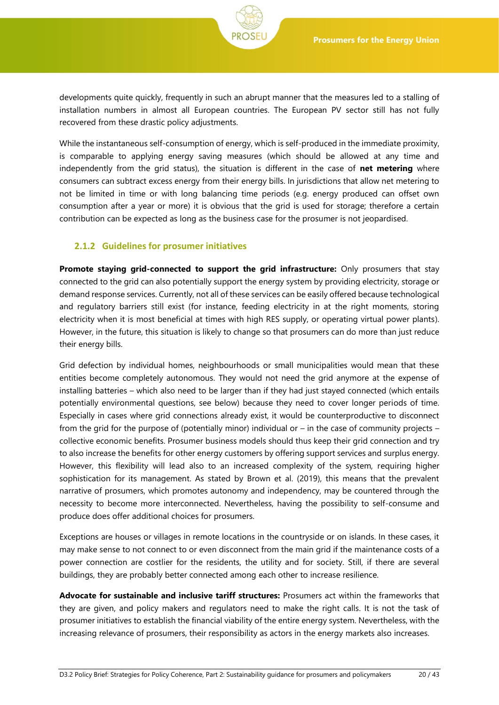developments quite quickly, frequently in such an abrupt manner that the measures led to a stalling of installation numbers in almost all European countries. The European PV sector still has not fully recovered from these drastic policy adjustments.

While the instantaneous self-consumption of energy, which is self-produced in the immediate proximity, is comparable to applying energy saving measures (which should be allowed at any time and independently from the grid status), the situation is different in the case of **net metering** where consumers can subtract excess energy from their energy bills. In jurisdictions that allow net metering to not be limited in time or with long balancing time periods (e.g. energy produced can offset own consumption after a year or more) it is obvious that the grid is used for storage; therefore a certain contribution can be expected as long as the business case for the prosumer is not jeopardised.

#### <span id="page-19-0"></span>**2.1.2 Guidelines for prosumer initiatives**

**Promote staying grid-connected to support the grid infrastructure:** Only prosumers that stay connected to the grid can also potentially support the energy system by providing electricity, storage or demand response services. Currently, not all of these services can be easily offered because technological and regulatory barriers still exist (for instance, feeding electricity in at the right moments, storing electricity when it is most beneficial at times with high RES supply, or operating virtual power plants). However, in the future, this situation is likely to change so that prosumers can do more than just reduce their energy bills.

Grid defection by individual homes, neighbourhoods or small municipalities would mean that these entities become completely autonomous. They would not need the grid anymore at the expense of installing batteries – which also need to be larger than if they had just stayed connected (which entails potentially environmental questions, see below) because they need to cover longer periods of time. Especially in cases where grid connections already exist, it would be counterproductive to disconnect from the grid for the purpose of (potentially minor) individual or – in the case of community projects – collective economic benefits. Prosumer business models should thus keep their grid connection and try to also increase the benefits for other energy customers by offering support services and surplus energy. However, this flexibility will lead also to an increased complexity of the system, requiring higher sophistication for its management. As stated by Brown et al. (2019), this means that the prevalent narrative of prosumers, which promotes autonomy and independency, may be countered through the necessity to become more interconnected. Nevertheless, having the possibility to self-consume and produce does offer additional choices for prosumers.

Exceptions are houses or villages in remote locations in the countryside or on islands. In these cases, it may make sense to not connect to or even disconnect from the main grid if the maintenance costs of a power connection are costlier for the residents, the utility and for society. Still, if there are several buildings, they are probably better connected among each other to increase resilience.

**Advocate for sustainable and inclusive tariff structures:** Prosumers act within the frameworks that they are given, and policy makers and regulators need to make the right calls. It is not the task of prosumer initiatives to establish the financial viability of the entire energy system. Nevertheless, with the increasing relevance of prosumers, their responsibility as actors in the energy markets also increases.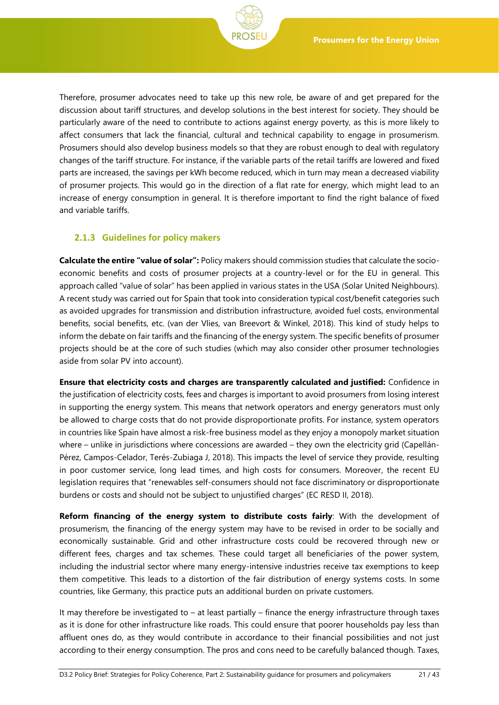

Therefore, prosumer advocates need to take up this new role, be aware of and get prepared for the discussion about tariff structures, and develop solutions in the best interest for society. They should be particularly aware of the need to contribute to actions against energy poverty, as this is more likely to affect consumers that lack the financial, cultural and technical capability to engage in prosumerism. Prosumers should also develop business models so that they are robust enough to deal with regulatory changes of the tariff structure. For instance, if the variable parts of the retail tariffs are lowered and fixed parts are increased, the savings per kWh become reduced, which in turn may mean a decreased viability of prosumer projects. This would go in the direction of a flat rate for energy, which might lead to an increase of energy consumption in general. It is therefore important to find the right balance of fixed and variable tariffs.

## <span id="page-20-0"></span>**2.1.3 Guidelines for policy makers**

**Calculate the entire "value of solar":** Policy makers should commission studies that calculate the socioeconomic benefits and costs of prosumer projects at a country-level or for the EU in general. This approach called "value of solar" has been applied in various states in the USA (Solar United Neighbours). A recent study was carried out for Spain that took into consideration typical cost/benefit categories such as avoided upgrades for transmission and distribution infrastructure, avoided fuel costs, environmental benefits, social benefits, etc. (van der Vlies, van Breevort & Winkel, 2018). This kind of study helps to inform the debate on fair tariffs and the financing of the energy system. The specific benefits of prosumer projects should be at the core of such studies (which may also consider other prosumer technologies aside from solar PV into account).

**Ensure that electricity costs and charges are transparently calculated and justified:** Confidence in the justification of electricity costs, fees and charges is important to avoid prosumers from losing interest in supporting the energy system. This means that network operators and energy generators must only be allowed to charge costs that do not provide disproportionate profits. For instance, system operators in countries like Spain have almost a risk-free business model as they enjoy a monopoly market situation where – unlike in jurisdictions where concessions are awarded – they own the electricity grid (Capellán-Pérez, Campos-Celador, Terés-Zubiaga J, 2018). This impacts the level of service they provide, resulting in poor customer service, long lead times, and high costs for consumers. Moreover, the recent EU legislation requires that "renewables self-consumers should not face discriminatory or disproportionate burdens or costs and should not be subject to unjustified charges" (EC RESD II, 2018).

**Reform financing of the energy system to distribute costs fairly**: With the development of prosumerism, the financing of the energy system may have to be revised in order to be socially and economically sustainable. Grid and other infrastructure costs could be recovered through new or different fees, charges and tax schemes. These could target all beneficiaries of the power system, including the industrial sector where many energy-intensive industries receive tax exemptions to keep them competitive. This leads to a distortion of the fair distribution of energy systems costs. In some countries, like Germany, this practice puts an additional burden on private customers.

It may therefore be investigated to  $-$  at least partially  $-$  finance the energy infrastructure through taxes as it is done for other infrastructure like roads. This could ensure that poorer households pay less than affluent ones do, as they would contribute in accordance to their financial possibilities and not just according to their energy consumption. The pros and cons need to be carefully balanced though. Taxes,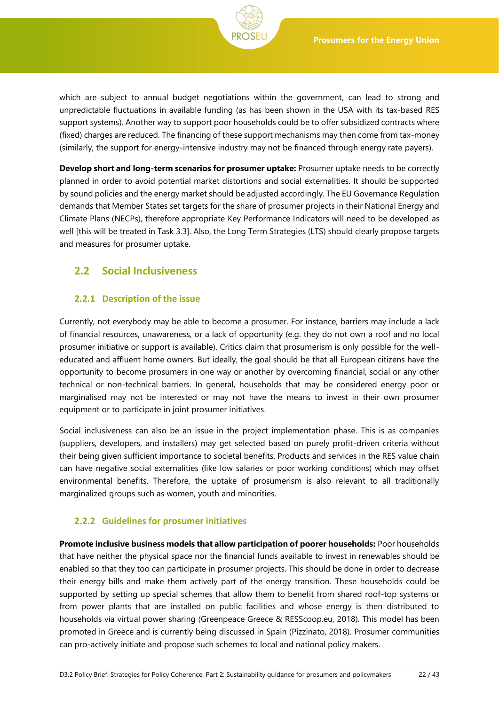which are subject to annual budget negotiations within the government, can lead to strong and unpredictable fluctuations in available funding (as has been shown in the USA with its tax-based RES support systems). Another way to support poor households could be to offer subsidized contracts where (fixed) charges are reduced. The financing of these support mechanisms may then come from tax-money (similarly, the support for energy-intensive industry may not be financed through energy rate payers).

**Develop short and long-term scenarios for prosumer uptake:** Prosumer uptake needs to be correctly planned in order to avoid potential market distortions and social externalities. It should be supported by sound policies and the energy market should be adjusted accordingly. The EU Governance Regulation demands that Member States set targets for the share of prosumer projects in their National Energy and Climate Plans (NECPs), therefore appropriate Key Performance Indicators will need to be developed as well [this will be treated in Task 3.3]. Also, the Long Term Strategies (LTS) should clearly propose targets and measures for prosumer uptake.

## <span id="page-21-0"></span>**2.2 Social Inclusiveness**

### <span id="page-21-1"></span>**2.2.1 Description of the issue**

Currently, not everybody may be able to become a prosumer. For instance, barriers may include a lack of financial resources, unawareness, or a lack of opportunity (e.g. they do not own a roof and no local prosumer initiative or support is available). Critics claim that prosumerism is only possible for the welleducated and affluent home owners. But ideally, the goal should be that all European citizens have the opportunity to become prosumers in one way or another by overcoming financial, social or any other technical or non-technical barriers. In general, households that may be considered energy poor or marginalised may not be interested or may not have the means to invest in their own prosumer equipment or to participate in joint prosumer initiatives.

Social inclusiveness can also be an issue in the project implementation phase. This is as companies (suppliers, developers, and installers) may get selected based on purely profit-driven criteria without their being given sufficient importance to societal benefits. Products and services in the RES value chain can have negative social externalities (like low salaries or poor working conditions) which may offset environmental benefits. Therefore, the uptake of prosumerism is also relevant to all traditionally marginalized groups such as women, youth and minorities.

#### <span id="page-21-2"></span>**2.2.2 Guidelines for prosumer initiatives**

**Promote inclusive business models that allow participation of poorer households:** Poor households that have neither the physical space nor the financial funds available to invest in renewables should be enabled so that they too can participate in prosumer projects. This should be done in order to decrease their energy bills and make them actively part of the energy transition. These households could be supported by setting up special schemes that allow them to benefit from shared roof-top systems or from power plants that are installed on public facilities and whose energy is then distributed to households via virtual power sharing (Greenpeace Greece & RESScoop.eu, 2018). This model has been promoted in Greece and is currently being discussed in Spain (Pizzinato, 2018). Prosumer communities can pro-actively initiate and propose such schemes to local and national policy makers.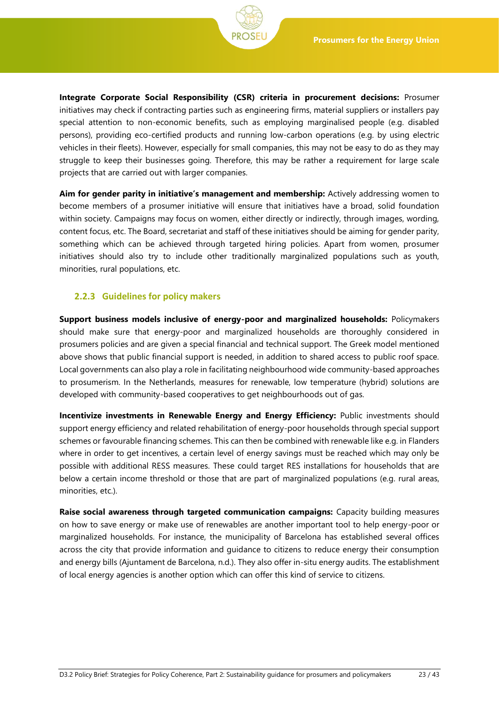**Integrate Corporate Social Responsibility (CSR) criteria in procurement decisions:** Prosumer initiatives may check if contracting parties such as engineering firms, material suppliers or installers pay special attention to non-economic benefits, such as employing marginalised people (e.g. disabled persons), providing eco-certified products and running low-carbon operations (e.g. by using electric vehicles in their fleets). However, especially for small companies, this may not be easy to do as they may struggle to keep their businesses going. Therefore, this may be rather a requirement for large scale projects that are carried out with larger companies.

**Aim for gender parity in initiative's management and membership:** Actively addressing women to become members of a prosumer initiative will ensure that initiatives have a broad, solid foundation within society. Campaigns may focus on women, either directly or indirectly, through images, wording, content focus, etc. The Board, secretariat and staff of these initiatives should be aiming for gender parity, something which can be achieved through targeted hiring policies. Apart from women, prosumer initiatives should also try to include other traditionally marginalized populations such as youth, minorities, rural populations, etc.

#### <span id="page-22-0"></span>**2.2.3 Guidelines for policy makers**

**Support business models inclusive of energy-poor and marginalized households:** Policymakers should make sure that energy-poor and marginalized households are thoroughly considered in prosumers policies and are given a special financial and technical support. The Greek model mentioned above shows that public financial support is needed, in addition to shared access to public roof space. Local governments can also play a role in facilitating neighbourhood wide community-based approaches to prosumerism. In the Netherlands, measures for renewable, low temperature (hybrid) solutions are developed with community-based cooperatives to get neighbourhoods out of gas.

**Incentivize investments in Renewable Energy and Energy Efficiency:** Public investments should support energy efficiency and related rehabilitation of energy-poor households through special support schemes or favourable financing schemes. This can then be combined with renewable like e.g. in Flanders where in order to get incentives, a certain level of energy savings must be reached which may only be possible with additional RESS measures. These could target RES installations for households that are below a certain income threshold or those that are part of marginalized populations (e.g. rural areas, minorities, etc.).

**Raise social awareness through targeted communication campaigns:** Capacity building measures on how to save energy or make use of renewables are another important tool to help energy-poor or marginalized households. For instance, the municipality of Barcelona has established several offices across the city that provide information and guidance to citizens to reduce energy their consumption and energy bills (Ajuntament de Barcelona, n.d.). They also offer in-situ energy audits. The establishment of local energy agencies is another option which can offer this kind of service to citizens.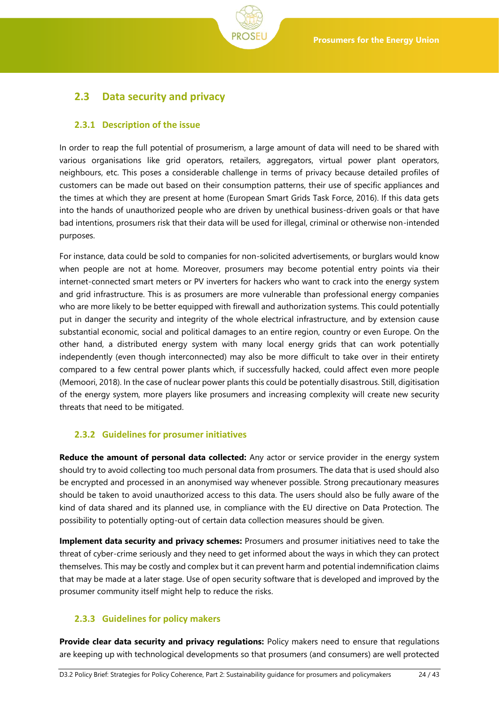

## <span id="page-23-0"></span>**2.3 Data security and privacy**

### <span id="page-23-1"></span>**2.3.1 Description of the issue**

In order to reap the full potential of prosumerism, a large amount of data will need to be shared with various organisations like grid operators, retailers, aggregators, virtual power plant operators, neighbours, etc. This poses a considerable challenge in terms of privacy because detailed profiles of customers can be made out based on their consumption patterns, their use of specific appliances and the times at which they are present at home (European Smart Grids Task Force, 2016). If this data gets into the hands of unauthorized people who are driven by unethical business-driven goals or that have bad intentions, prosumers risk that their data will be used for illegal, criminal or otherwise non-intended purposes.

For instance, data could be sold to companies for non-solicited advertisements, or burglars would know when people are not at home. Moreover, prosumers may become potential entry points via their internet-connected smart meters or PV inverters for hackers who want to crack into the energy system and grid infrastructure. This is as prosumers are more vulnerable than professional energy companies who are more likely to be better equipped with firewall and authorization systems. This could potentially put in danger the security and integrity of the whole electrical infrastructure, and by extension cause substantial economic, social and political damages to an entire region, country or even Europe. On the other hand, a distributed energy system with many local energy grids that can work potentially independently (even though interconnected) may also be more difficult to take over in their entirety compared to a few central power plants which, if successfully hacked, could affect even more people (Memoori, 2018). In the case of nuclear power plants this could be potentially disastrous. Still, digitisation of the energy system, more players like prosumers and increasing complexity will create new security threats that need to be mitigated.

## <span id="page-23-2"></span>**2.3.2 Guidelines for prosumer initiatives**

**Reduce the amount of personal data collected:** Any actor or service provider in the energy system should try to avoid collecting too much personal data from prosumers. The data that is used should also be encrypted and processed in an anonymised way whenever possible. Strong precautionary measures should be taken to avoid unauthorized access to this data. The users should also be fully aware of the kind of data shared and its planned use, in compliance with the EU directive on Data Protection. The possibility to potentially opting-out of certain data collection measures should be given.

**Implement data security and privacy schemes:** Prosumers and prosumer initiatives need to take the threat of cyber-crime seriously and they need to get informed about the ways in which they can protect themselves. This may be costly and complex but it can prevent harm and potential indemnification claims that may be made at a later stage. Use of open security software that is developed and improved by the prosumer community itself might help to reduce the risks.

## <span id="page-23-3"></span>**2.3.3 Guidelines for policy makers**

**Provide clear data security and privacy regulations:** Policy makers need to ensure that regulations are keeping up with technological developments so that prosumers (and consumers) are well protected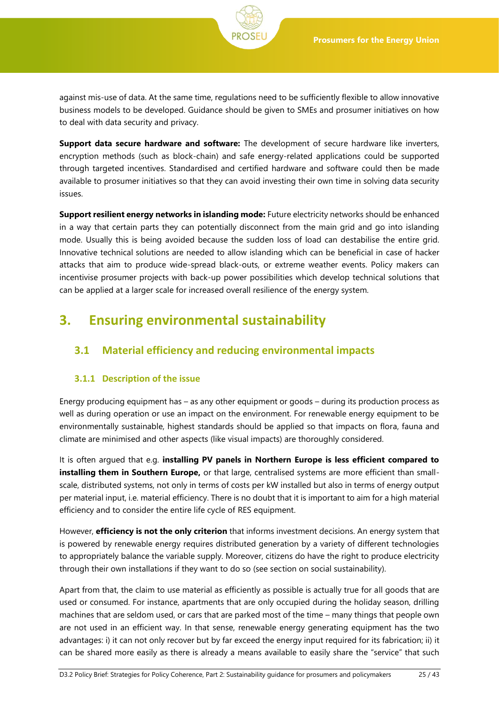against mis-use of data. At the same time, regulations need to be sufficiently flexible to allow innovative business models to be developed. Guidance should be given to SMEs and prosumer initiatives on how to deal with data security and privacy.

**Support data secure hardware and software:** The development of secure hardware like inverters, encryption methods (such as block-chain) and safe energy-related applications could be supported through targeted incentives. Standardised and certified hardware and software could then be made available to prosumer initiatives so that they can avoid investing their own time in solving data security issues.

**Support resilient energy networks in islanding mode:** Future electricity networks should be enhanced in a way that certain parts they can potentially disconnect from the main grid and go into islanding mode. Usually this is being avoided because the sudden loss of load can destabilise the entire grid. Innovative technical solutions are needed to allow islanding which can be beneficial in case of hacker attacks that aim to produce wide-spread black-outs, or extreme weather events. Policy makers can incentivise prosumer projects with back-up power possibilities which develop technical solutions that can be applied at a larger scale for increased overall resilience of the energy system.

# <span id="page-24-0"></span>**3. Ensuring environmental sustainability**

## <span id="page-24-1"></span>**3.1 Material efficiency and reducing environmental impacts**

## <span id="page-24-2"></span>**3.1.1 Description of the issue**

Energy producing equipment has – as any other equipment or goods – during its production process as well as during operation or use an impact on the environment. For renewable energy equipment to be environmentally sustainable, highest standards should be applied so that impacts on flora, fauna and climate are minimised and other aspects (like visual impacts) are thoroughly considered.

It is often argued that e.g. **installing PV panels in Northern Europe is less efficient compared to installing them in Southern Europe,** or that large, centralised systems are more efficient than smallscale, distributed systems, not only in terms of costs per kW installed but also in terms of energy output per material input, i.e. material efficiency. There is no doubt that it is important to aim for a high material efficiency and to consider the entire life cycle of RES equipment.

However, **efficiency is not the only criterion** that informs investment decisions. An energy system that is powered by renewable energy requires distributed generation by a variety of different technologies to appropriately balance the variable supply. Moreover, citizens do have the right to produce electricity through their own installations if they want to do so (see section on social sustainability).

Apart from that, the claim to use material as efficiently as possible is actually true for all goods that are used or consumed. For instance, apartments that are only occupied during the holiday season, drilling machines that are seldom used, or cars that are parked most of the time – many things that people own are not used in an efficient way. In that sense, renewable energy generating equipment has the two advantages: i) it can not only recover but by far exceed the energy input required for its fabrication; ii) it can be shared more easily as there is already a means available to easily share the "service" that such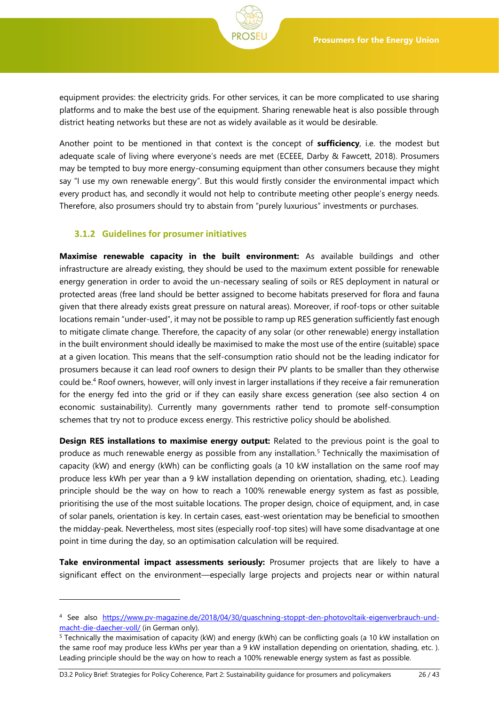

Another point to be mentioned in that context is the concept of **sufficiency**, i.e. the modest but adequate scale of living where everyone's needs are met (ECEEE, Darby & Fawcett, 2018). Prosumers may be tempted to buy more energy-consuming equipment than other consumers because they might say "I use my own renewable energy". But this would firstly consider the environmental impact which every product has, and secondly it would not help to contribute meeting other people's energy needs. Therefore, also prosumers should try to abstain from "purely luxurious" investments or purchases.

#### <span id="page-25-0"></span>**3.1.2 Guidelines for prosumer initiatives**

l

**Maximise renewable capacity in the built environment:** As available buildings and other infrastructure are already existing, they should be used to the maximum extent possible for renewable energy generation in order to avoid the un-necessary sealing of soils or RES deployment in natural or protected areas (free land should be better assigned to become habitats preserved for flora and fauna given that there already exists great pressure on natural areas). Moreover, if roof-tops or other suitable locations remain "under-used", it may not be possible to ramp up RES generation sufficiently fast enough to mitigate climate change. Therefore, the capacity of any solar (or other renewable) energy installation in the built environment should ideally be maximised to make the most use of the entire (suitable) space at a given location. This means that the self-consumption ratio should not be the leading indicator for prosumers because it can lead roof owners to design their PV plants to be smaller than they otherwise could be.<sup>4</sup> Roof owners, however, will only invest in larger installations if they receive a fair remuneration for the energy fed into the grid or if they can easily share excess generation (see also section [4](#page-28-0) on economic sustainability). Currently many governments rather tend to promote self-consumption schemes that try not to produce excess energy. This restrictive policy should be abolished.

**Design RES installations to maximise energy output:** Related to the previous point is the goal to produce as much renewable energy as possible from any installation.<sup>5</sup> Technically the maximisation of capacity (kW) and energy (kWh) can be conflicting goals (a 10 kW installation on the same roof may produce less kWh per year than a 9 kW installation depending on orientation, shading, etc.). Leading principle should be the way on how to reach a 100% renewable energy system as fast as possible, prioritising the use of the most suitable locations. The proper design, choice of equipment, and, in case of solar panels, orientation is key. In certain cases, east-west orientation may be beneficial to smoothen the midday-peak. Nevertheless, most sites (especially roof-top sites) will have some disadvantage at one point in time during the day, so an optimisation calculation will be required.

**Take environmental impact assessments seriously:** Prosumer projects that are likely to have a significant effect on the environment—especially large projects and projects near or within natural

<sup>4</sup> See also [https://www.pv-magazine.de/2018/04/30/quaschning-stoppt-den-photovoltaik-eigenverbrauch-und](https://www.pv-magazine.de/2018/04/30/quaschning-stoppt-den-photovoltaik-eigenverbrauch-und-macht-die-daecher-voll/)[macht-die-daecher-voll/](https://www.pv-magazine.de/2018/04/30/quaschning-stoppt-den-photovoltaik-eigenverbrauch-und-macht-die-daecher-voll/) (in German only).

<sup>&</sup>lt;sup>5</sup> Technically the maximisation of capacity (kW) and energy (kWh) can be conflicting goals (a 10 kW installation on the same roof may produce less kWhs per year than a 9 kW installation depending on orientation, shading, etc. ). Leading principle should be the way on how to reach a 100% renewable energy system as fast as possible.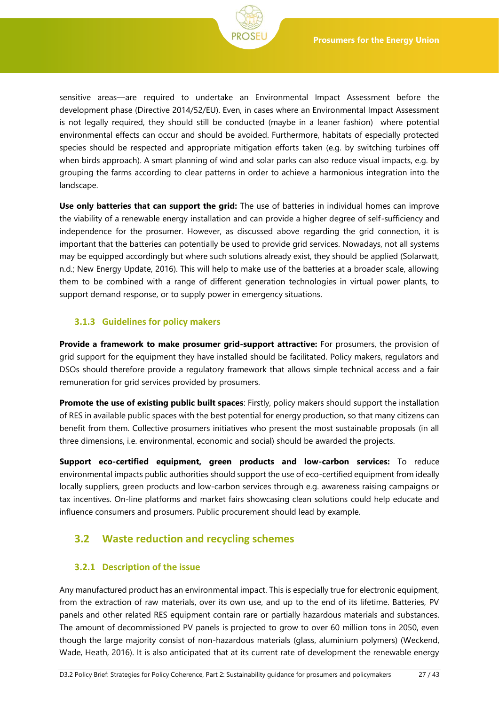

**Use only batteries that can support the grid:** The use of batteries in individual homes can improve the viability of a renewable energy installation and can provide a higher degree of self-sufficiency and independence for the prosumer. However, as discussed above regarding the grid connection, it is important that the batteries can potentially be used to provide grid services. Nowadays, not all systems may be equipped accordingly but where such solutions already exist, they should be applied (Solarwatt, n.d.; New Energy Update, 2016). This will help to make use of the batteries at a broader scale, allowing them to be combined with a range of different generation technologies in virtual power plants, to support demand response, or to supply power in emergency situations.

### <span id="page-26-0"></span>**3.1.3 Guidelines for policy makers**

**Provide a framework to make prosumer grid-support attractive:** For prosumers, the provision of grid support for the equipment they have installed should be facilitated. Policy makers, regulators and DSOs should therefore provide a regulatory framework that allows simple technical access and a fair remuneration for grid services provided by prosumers.

**Promote the use of existing public built spaces**: Firstly, policy makers should support the installation of RES in available public spaces with the best potential for energy production, so that many citizens can benefit from them. Collective prosumers initiatives who present the most sustainable proposals (in all three dimensions, i.e. environmental, economic and social) should be awarded the projects.

**Support eco-certified equipment, green products and low-carbon services:** To reduce environmental impacts public authorities should support the use of eco-certified equipment from ideally locally suppliers, green products and low-carbon services through e.g. awareness raising campaigns or tax incentives. On-line platforms and market fairs showcasing clean solutions could help educate and influence consumers and prosumers. Public procurement should lead by example.

## <span id="page-26-1"></span>**3.2 Waste reduction and recycling schemes**

#### <span id="page-26-2"></span>**3.2.1 Description of the issue**

Any manufactured product has an environmental impact. This is especially true for electronic equipment, from the extraction of raw materials, over its own use, and up to the end of its lifetime. Batteries, PV panels and other related RES equipment contain rare or partially hazardous materials and substances. The amount of decommissioned PV panels is projected to grow to over 60 million tons in 2050, even though the large majority consist of non-hazardous materials (glass, aluminium polymers) (Weckend, Wade, Heath, 2016). It is also anticipated that at its current rate of development the renewable energy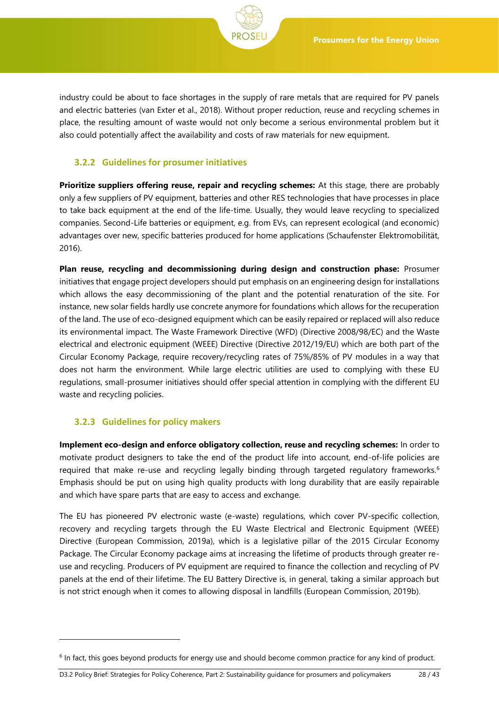

industry could be about to face shortages in the supply of rare metals that are required for PV panels and electric batteries (van Exter et al., 2018). Without proper reduction, reuse and recycling schemes in place, the resulting amount of waste would not only become a serious environmental problem but it also could potentially affect the availability and costs of raw materials for new equipment.

#### <span id="page-27-0"></span>**3.2.2 Guidelines for prosumer initiatives**

**Prioritize suppliers offering reuse, repair and recycling schemes:** At this stage, there are probably only a few suppliers of PV equipment, batteries and other RES technologies that have processes in place to take back equipment at the end of the life-time. Usually, they would leave recycling to specialized companies. Second-Life batteries or equipment, e.g. from EVs, can represent ecological (and economic) advantages over new, specific batteries produced for home applications (Schaufenster Elektromobilität, 2016).

**Plan reuse, recycling and decommissioning during design and construction phase:** Prosumer initiatives that engage project developers should put emphasis on an engineering design for installations which allows the easy decommissioning of the plant and the potential renaturation of the site. For instance, new solar fields hardly use concrete anymore for foundations which allows for the recuperation of the land. The use of eco-designed equipment which can be easily repaired or replaced will also reduce its environmental impact. The Waste Framework Directive (WFD) (Directive 2008/98/EC) and the Waste electrical and electronic equipment (WEEE) Directive (Directive 2012/19/EU) which are both part of the Circular Economy Package, require recovery/recycling rates of 75%/85% of PV modules in a way that does not harm the environment. While large electric utilities are used to complying with these EU regulations, small-prosumer initiatives should offer special attention in complying with the different EU waste and recycling policies.

#### <span id="page-27-1"></span>**3.2.3 Guidelines for policy makers**

l

**Implement eco-design and enforce obligatory collection, reuse and recycling schemes:** In order to motivate product designers to take the end of the product life into account, end-of-life policies are required that make re-use and recycling legally binding through targeted regulatory frameworks.<sup>6</sup> Emphasis should be put on using high quality products with long durability that are easily repairable and which have spare parts that are easy to access and exchange.

The EU has pioneered PV electronic waste (e-waste) regulations, which cover PV-specific collection, recovery and recycling targets through the EU Waste Electrical and Electronic Equipment (WEEE) Directive (European Commission, 2019a), which is a legislative pillar of the 2015 Circular Economy Package. The Circular Economy package aims at increasing the lifetime of products through greater reuse and recycling. Producers of PV equipment are required to finance the collection and recycling of PV panels at the end of their lifetime. The EU Battery Directive is, in general, taking a similar approach but is not strict enough when it comes to allowing disposal in landfills (European Commission, 2019b).

<sup>&</sup>lt;sup>6</sup> In fact, this goes beyond products for energy use and should become common practice for any kind of product.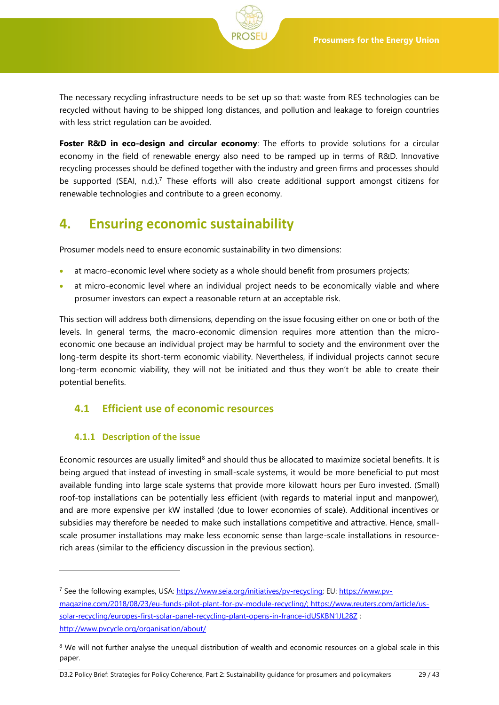The necessary recycling infrastructure needs to be set up so that: waste from RES technologies can be recycled without having to be shipped long distances, and pollution and leakage to foreign countries with less strict regulation can be avoided.

**Foster R&D in eco-design and circular economy**: The efforts to provide solutions for a circular economy in the field of renewable energy also need to be ramped up in terms of R&D. Innovative recycling processes should be defined together with the industry and green firms and processes should be supported (SEAI, n.d.).<sup>7</sup> These efforts will also create additional support amongst citizens for renewable technologies and contribute to a green economy.

# <span id="page-28-0"></span>**4. Ensuring economic sustainability**

Prosumer models need to ensure economic sustainability in two dimensions:

- at macro-economic level where society as a whole should benefit from prosumers projects;
- at micro-economic level where an individual project needs to be economically viable and where prosumer investors can expect a reasonable return at an acceptable risk.

This section will address both dimensions, depending on the issue focusing either on one or both of the levels. In general terms, the macro-economic dimension requires more attention than the microeconomic one because an individual project may be harmful to society and the environment over the long-term despite its short-term economic viability. Nevertheless, if individual projects cannot secure long-term economic viability, they will not be initiated and thus they won't be able to create their potential benefits.

## <span id="page-28-1"></span>**4.1 Efficient use of economic resources**

## <span id="page-28-2"></span>**4.1.1 Description of the issue**

l

Economic resources are usually limited $8$  and should thus be allocated to maximize societal benefits. It is being argued that instead of investing in small-scale systems, it would be more beneficial to put most available funding into large scale systems that provide more kilowatt hours per Euro invested. (Small) roof-top installations can be potentially less efficient (with regards to material input and manpower), and are more expensive per kW installed (due to lower economies of scale). Additional incentives or subsidies may therefore be needed to make such installations competitive and attractive. Hence, smallscale prosumer installations may make less economic sense than large-scale installations in resourcerich areas (similar to the efficiency discussion in the previous section).

D3.2 Policy Brief: Strategies for Policy Coherence, Part 2: Sustainability guidance for prosumers and policymakers 29 / 43

<sup>7</sup> See the following examples, USA[: https://www.seia.org/initiatives/pv-recycling;](https://www.seia.org/initiatives/pv-recycling) EU[: https://www.pv](https://www.pv-magazine.com/2018/08/23/eu-funds-pilot-plant-for-pv-module-recycling/)[magazine.com/2018/08/23/eu-funds-pilot-plant-for-pv-module-recycling/;](https://www.pv-magazine.com/2018/08/23/eu-funds-pilot-plant-for-pv-module-recycling/) [https://www.reuters.com/article/us](https://www.reuters.com/article/us-solar-recycling/europes-first-solar-panel-recycling-plant-opens-in-france-idUSKBN1JL28Z)[solar-recycling/europes-first-solar-panel-recycling-plant-opens-in-france-idUSKBN1JL28Z](https://www.reuters.com/article/us-solar-recycling/europes-first-solar-panel-recycling-plant-opens-in-france-idUSKBN1JL28Z) ; <http://www.pvcycle.org/organisation/about/>

<sup>&</sup>lt;sup>8</sup> We will not further analyse the unequal distribution of wealth and economic resources on a global scale in this paper.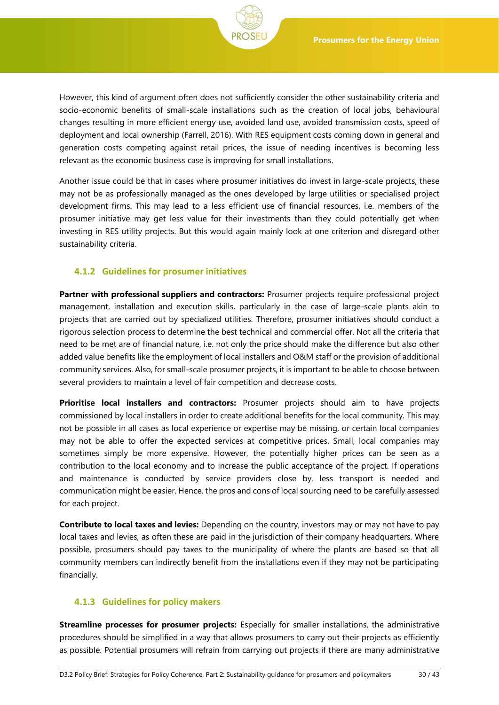However, this kind of argument often does not sufficiently consider the other sustainability criteria and socio-economic benefits of small-scale installations such as the creation of local jobs, behavioural changes resulting in more efficient energy use, avoided land use, avoided transmission costs, speed of deployment and local ownership (Farrell, 2016). With RES equipment costs coming down in general and generation costs competing against retail prices, the issue of needing incentives is becoming less relevant as the economic business case is improving for small installations.

Another issue could be that in cases where prosumer initiatives do invest in large-scale projects, these may not be as professionally managed as the ones developed by large utilities or specialised project development firms. This may lead to a less efficient use of financial resources, i.e. members of the prosumer initiative may get less value for their investments than they could potentially get when investing in RES utility projects. But this would again mainly look at one criterion and disregard other sustainability criteria.

### <span id="page-29-0"></span>**4.1.2 Guidelines for prosumer initiatives**

**Partner with professional suppliers and contractors:** Prosumer projects require professional project management, installation and execution skills, particularly in the case of large-scale plants akin to projects that are carried out by specialized utilities. Therefore, prosumer initiatives should conduct a rigorous selection process to determine the best technical and commercial offer. Not all the criteria that need to be met are of financial nature, i.e. not only the price should make the difference but also other added value benefits like the employment of local installers and O&M staff or the provision of additional community services. Also, for small-scale prosumer projects, it is important to be able to choose between several providers to maintain a level of fair competition and decrease costs.

**Prioritise local installers and contractors:** Prosumer projects should aim to have projects commissioned by local installers in order to create additional benefits for the local community. This may not be possible in all cases as local experience or expertise may be missing, or certain local companies may not be able to offer the expected services at competitive prices. Small, local companies may sometimes simply be more expensive. However, the potentially higher prices can be seen as a contribution to the local economy and to increase the public acceptance of the project. If operations and maintenance is conducted by service providers close by, less transport is needed and communication might be easier. Hence, the pros and cons of local sourcing need to be carefully assessed for each project.

**Contribute to local taxes and levies:** Depending on the country, investors may or may not have to pay local taxes and levies, as often these are paid in the jurisdiction of their company headquarters. Where possible, prosumers should pay taxes to the municipality of where the plants are based so that all community members can indirectly benefit from the installations even if they may not be participating financially.

#### <span id="page-29-1"></span>**4.1.3 Guidelines for policy makers**

**Streamline processes for prosumer projects:** Especially for smaller installations, the administrative procedures should be simplified in a way that allows prosumers to carry out their projects as efficiently as possible. Potential prosumers will refrain from carrying out projects if there are many administrative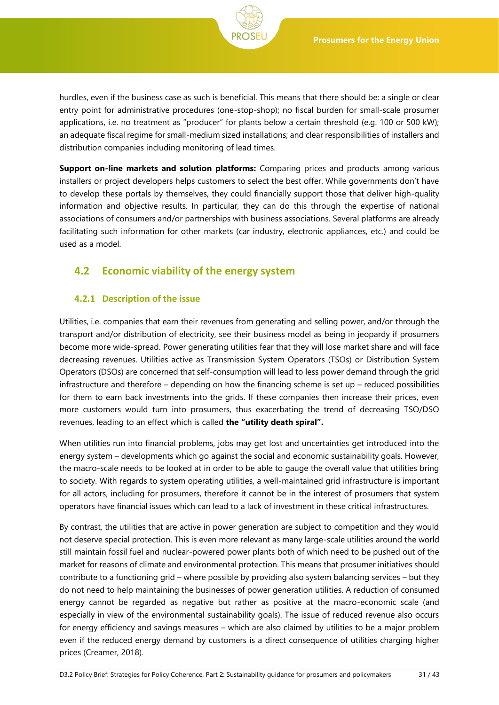hurdles, even if the business case as such is beneficial. This means that there should be: a single or clear entry point for administrative procedures (one-stop-shop); no fiscal burden for small-scale prosumer applications, i.e. no treatment as "producer" for plants below a certain threshold (e.g. 100 or 500 kW); an adequate fiscal regime for small-medium sized installations; and clear responsibilities of installers and distribution companies including monitoring of lead times.

**Support on-line markets and solution platforms:** Comparing prices and products among various installers or project developers helps customers to select the best offer. While governments don't have to develop these portals by themselves, they could financially support those that deliver high-quality information and objective results. In particular, they can do this through the expertise of national associations of consumers and/or partnerships with business associations. Several platforms are already facilitating such information for other markets (car industry, electronic appliances, etc.) and could be used as a model.

## <span id="page-30-0"></span>**4.2 Economic viability of the energy system**

## <span id="page-30-1"></span>**4.2.1 Description of the issue**

Utilities, i.e. companies that earn their revenues from generating and selling power, and/or through the transport and/or distribution of electricity, see their business model as being in jeopardy if prosumers become more wide-spread. Power generating utilities fear that they will lose market share and will face decreasing revenues. Utilities active as Transmission System Operators (TSOs) or Distribution System Operators (DSOs) are concerned that self-consumption will lead to less power demand through the grid infrastructure and therefore – depending on how the financing scheme is set up – reduced possibilities for them to earn back investments into the grids. If these companies then increase their prices, even more customers would turn into prosumers, thus exacerbating the trend of decreasing TSO/DSO revenues, leading to an effect which is called **the "utility death spiral".**

When utilities run into financial problems, jobs may get lost and uncertainties get introduced into the energy system – developments which go against the social and economic sustainability goals. However, the macro-scale needs to be looked at in order to be able to gauge the overall value that utilities bring to society. With regards to system operating utilities, a well-maintained grid infrastructure is important for all actors, including for prosumers, therefore it cannot be in the interest of prosumers that system operators have financial issues which can lead to a lack of investment in these critical infrastructures.

By contrast, the utilities that are active in power generation are subject to competition and they would not deserve special protection. This is even more relevant as many large-scale utilities around the world still maintain fossil fuel and nuclear-powered power plants both of which need to be pushed out of the market for reasons of climate and environmental protection. This means that prosumer initiatives should contribute to a functioning grid – where possible by providing also system balancing services – but they do not need to help maintaining the businesses of power generation utilities. A reduction of consumed energy cannot be regarded as negative but rather as positive at the macro-economic scale (and especially in view of the environmental sustainability goals). The issue of reduced revenue also occurs for energy efficiency and savings measures – which are also claimed by utilities to be a major problem even if the reduced energy demand by customers is a direct consequence of utilities charging higher prices (Creamer, 2018).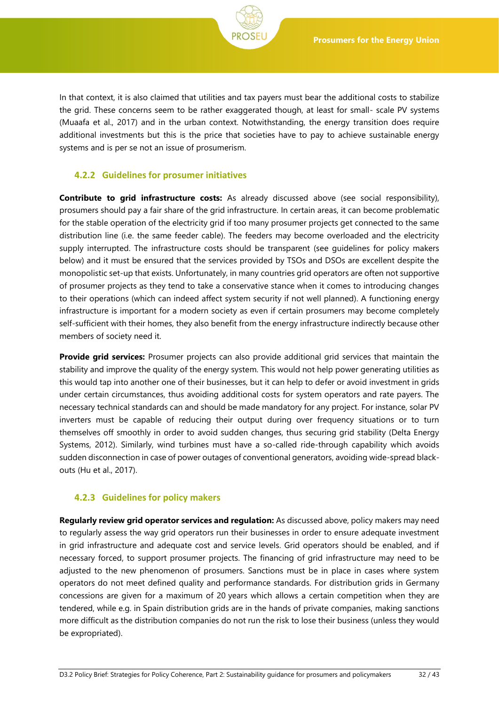In that context, it is also claimed that utilities and tax payers must bear the additional costs to stabilize the grid. These concerns seem to be rather exaggerated though, at least for small- scale PV systems (Muaafa et al., 2017) and in the urban context. Notwithstanding, the energy transition does require additional investments but this is the price that societies have to pay to achieve sustainable energy systems and is per se not an issue of prosumerism.

### <span id="page-31-0"></span>**4.2.2 Guidelines for prosumer initiatives**

**Contribute to grid infrastructure costs:** As already discussed above (see social responsibility), prosumers should pay a fair share of the grid infrastructure. In certain areas, it can become problematic for the stable operation of the electricity grid if too many prosumer projects get connected to the same distribution line (i.e. the same feeder cable). The feeders may become overloaded and the electricity supply interrupted. The infrastructure costs should be transparent (see guidelines for policy makers below) and it must be ensured that the services provided by TSOs and DSOs are excellent despite the monopolistic set-up that exists. Unfortunately, in many countries grid operators are often not supportive of prosumer projects as they tend to take a conservative stance when it comes to introducing changes to their operations (which can indeed affect system security if not well planned). A functioning energy infrastructure is important for a modern society as even if certain prosumers may become completely self-sufficient with their homes, they also benefit from the energy infrastructure indirectly because other members of society need it.

**Provide grid services:** Prosumer projects can also provide additional grid services that maintain the stability and improve the quality of the energy system. This would not help power generating utilities as this would tap into another one of their businesses, but it can help to defer or avoid investment in grids under certain circumstances, thus avoiding additional costs for system operators and rate payers. The necessary technical standards can and should be made mandatory for any project. For instance, solar PV inverters must be capable of reducing their output during over frequency situations or to turn themselves off smoothly in order to avoid sudden changes, thus securing grid stability (Delta Energy Systems, 2012). Similarly, wind turbines must have a so-called ride-through capability which avoids sudden disconnection in case of power outages of conventional generators, avoiding wide-spread blackouts (Hu et al., 2017).

## <span id="page-31-1"></span>**4.2.3 Guidelines for policy makers**

**Regularly review grid operator services and regulation:** As discussed above, policy makers may need to regularly assess the way grid operators run their businesses in order to ensure adequate investment in grid infrastructure and adequate cost and service levels. Grid operators should be enabled, and if necessary forced, to support prosumer projects. The financing of grid infrastructure may need to be adjusted to the new phenomenon of prosumers. Sanctions must be in place in cases where system operators do not meet defined quality and performance standards. For distribution grids in Germany concessions are given for a maximum of 20 years which allows a certain competition when they are tendered, while e.g. in Spain distribution grids are in the hands of private companies, making sanctions more difficult as the distribution companies do not run the risk to lose their business (unless they would be expropriated).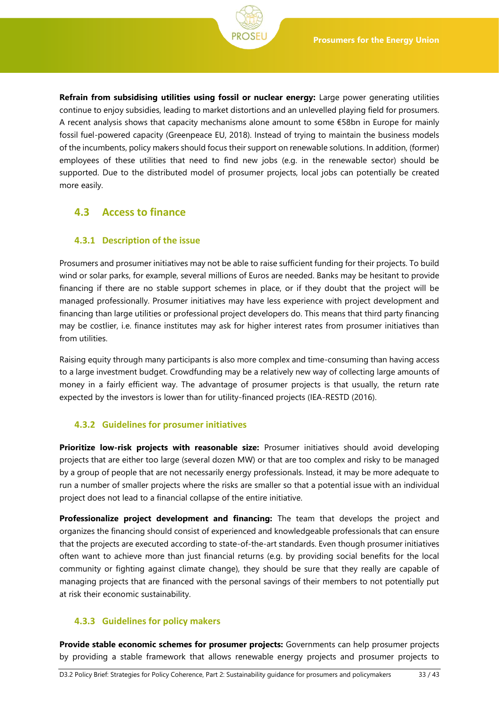**Refrain from subsidising utilities using fossil or nuclear energy:** Large power generating utilities continue to enjoy subsidies, leading to market distortions and an unlevelled playing field for prosumers. A recent analysis shows that capacity mechanisms alone amount to some €58bn in Europe for mainly fossil fuel-powered capacity (Greenpeace EU, 2018). Instead of trying to maintain the business models of the incumbents, policy makers should focus their support on renewable solutions. In addition, (former) employees of these utilities that need to find new jobs (e.g. in the renewable sector) should be supported. Due to the distributed model of prosumer projects, local jobs can potentially be created more easily.

## <span id="page-32-0"></span>**4.3 Access to finance**

### <span id="page-32-1"></span>**4.3.1 Description of the issue**

Prosumers and prosumer initiatives may not be able to raise sufficient funding for their projects. To build wind or solar parks, for example, several millions of Euros are needed. Banks may be hesitant to provide financing if there are no stable support schemes in place, or if they doubt that the project will be managed professionally. Prosumer initiatives may have less experience with project development and financing than large utilities or professional project developers do. This means that third party financing may be costlier, i.e. finance institutes may ask for higher interest rates from prosumer initiatives than from utilities.

Raising equity through many participants is also more complex and time-consuming than having access to a large investment budget. Crowdfunding may be a relatively new way of collecting large amounts of money in a fairly efficient way. The advantage of prosumer projects is that usually, the return rate expected by the investors is lower than for utility-financed projects (IEA-RESTD (2016).

## <span id="page-32-2"></span>**4.3.2 Guidelines for prosumer initiatives**

**Prioritize low-risk projects with reasonable size:** Prosumer initiatives should avoid developing projects that are either too large (several dozen MW) or that are too complex and risky to be managed by a group of people that are not necessarily energy professionals. Instead, it may be more adequate to run a number of smaller projects where the risks are smaller so that a potential issue with an individual project does not lead to a financial collapse of the entire initiative.

**Professionalize project development and financing:** The team that develops the project and organizes the financing should consist of experienced and knowledgeable professionals that can ensure that the projects are executed according to state-of-the-art standards. Even though prosumer initiatives often want to achieve more than just financial returns (e.g. by providing social benefits for the local community or fighting against climate change), they should be sure that they really are capable of managing projects that are financed with the personal savings of their members to not potentially put at risk their economic sustainability.

## <span id="page-32-3"></span>**4.3.3 Guidelines for policy makers**

**Provide stable economic schemes for prosumer projects:** Governments can help prosumer projects by providing a stable framework that allows renewable energy projects and prosumer projects to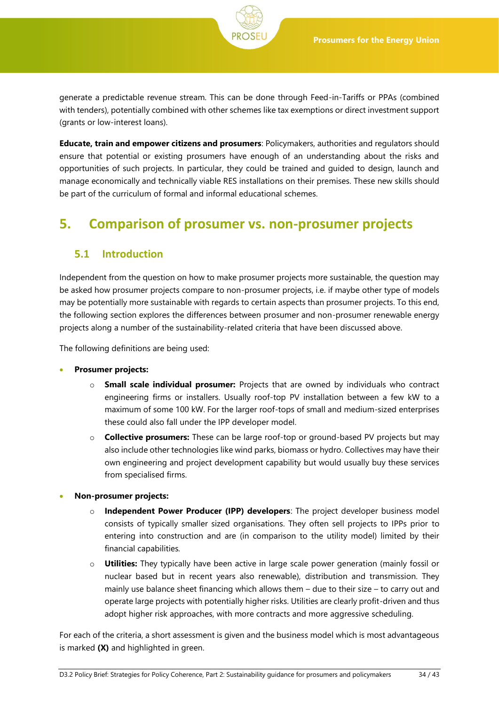generate a predictable revenue stream. This can be done through Feed-in-Tariffs or PPAs (combined with tenders), potentially combined with other schemes like tax exemptions or direct investment support (grants or low-interest loans).

**Educate, train and empower citizens and prosumers**: Policymakers, authorities and regulators should ensure that potential or existing prosumers have enough of an understanding about the risks and opportunities of such projects. In particular, they could be trained and guided to design, launch and manage economically and technically viable RES installations on their premises. These new skills should be part of the curriculum of formal and informal educational schemes.

# <span id="page-33-0"></span>**5. Comparison of prosumer vs. non-prosumer projects**

## <span id="page-33-1"></span>**5.1 Introduction**

Independent from the question on how to make prosumer projects more sustainable, the question may be asked how prosumer projects compare to non-prosumer projects, i.e. if maybe other type of models may be potentially more sustainable with regards to certain aspects than prosumer projects. To this end, the following section explores the differences between prosumer and non-prosumer renewable energy projects along a number of the sustainability-related criteria that have been discussed above.

The following definitions are being used:

- **Prosumer projects:**
	- o **Small scale individual prosumer:** Projects that are owned by individuals who contract engineering firms or installers. Usually roof-top PV installation between a few kW to a maximum of some 100 kW. For the larger roof-tops of small and medium-sized enterprises these could also fall under the IPP developer model.
	- o **Collective prosumers:** These can be large roof-top or ground-based PV projects but may also include other technologies like wind parks, biomass or hydro. Collectives may have their own engineering and project development capability but would usually buy these services from specialised firms.
- **Non-prosumer projects:**
	- o **Independent Power Producer (IPP) developers**: The project developer business model consists of typically smaller sized organisations. They often sell projects to IPPs prior to entering into construction and are (in comparison to the utility model) limited by their financial capabilities*.*
	- o **Utilities:** They typically have been active in large scale power generation (mainly fossil or nuclear based but in recent years also renewable), distribution and transmission. They mainly use balance sheet financing which allows them – due to their size – to carry out and operate large projects with potentially higher risks. Utilities are clearly profit-driven and thus adopt higher risk approaches, with more contracts and more aggressive scheduling.

For each of the criteria, a short assessment is given and the business model which is most advantageous is marked **(X)** and highlighted in green.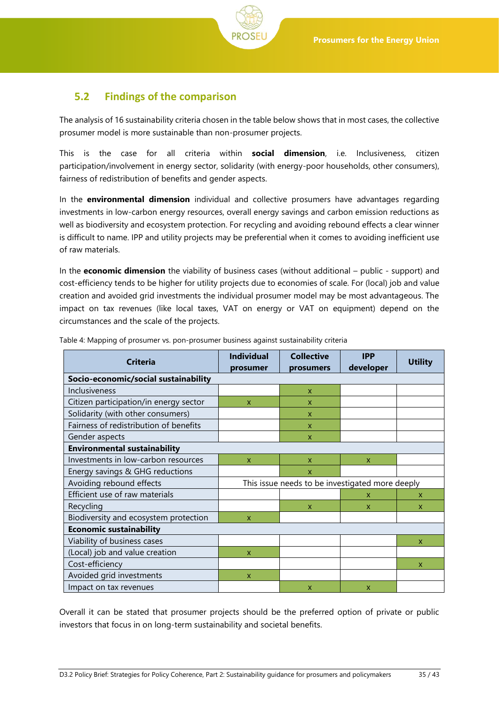

## <span id="page-34-0"></span>**5.2 Findings of the comparison**

The analysis of 16 sustainability criteria chosen in the table below shows that in most cases, the collective prosumer model is more sustainable than non-prosumer projects.

This is the case for all criteria within **social dimension**, i.e. Inclusiveness, citizen participation/involvement in energy sector, solidarity (with energy-poor households, other consumers), fairness of redistribution of benefits and gender aspects.

In the **environmental dimension** individual and collective prosumers have advantages regarding investments in low-carbon energy resources, overall energy savings and carbon emission reductions as well as biodiversity and ecosystem protection. For recycling and avoiding rebound effects a clear winner is difficult to name. IPP and utility projects may be preferential when it comes to avoiding inefficient use of raw materials.

In the **economic dimension** the viability of business cases (without additional – public - support) and cost-efficiency tends to be higher for utility projects due to economies of scale. For (local) job and value creation and avoided grid investments the individual prosumer model may be most advantageous. The impact on tax revenues (like local taxes, VAT on energy or VAT on equipment) depend on the circumstances and the scale of the projects.

| <b>Criteria</b>                        | <b>Individual</b><br>prosumer | <b>Collective</b><br>prosumers                  | <b>IPP</b><br>developer | <b>Utility</b> |  |
|----------------------------------------|-------------------------------|-------------------------------------------------|-------------------------|----------------|--|
| Socio-economic/social sustainability   |                               |                                                 |                         |                |  |
| Inclusiveness                          |                               | $\mathsf{x}$                                    |                         |                |  |
| Citizen participation/in energy sector | X                             | $\mathsf{x}$                                    |                         |                |  |
| Solidarity (with other consumers)      |                               | $\mathsf{x}$                                    |                         |                |  |
| Fairness of redistribution of benefits |                               | $\mathsf{x}$                                    |                         |                |  |
| Gender aspects                         |                               | $\mathsf{x}$                                    |                         |                |  |
| <b>Environmental sustainability</b>    |                               |                                                 |                         |                |  |
| Investments in low-carbon resources    | X                             | X                                               | x                       |                |  |
| Energy savings & GHG reductions        |                               | X                                               |                         |                |  |
| Avoiding rebound effects               |                               | This issue needs to be investigated more deeply |                         |                |  |
| Efficient use of raw materials         |                               |                                                 | x                       | x              |  |
| Recycling                              |                               | X                                               | X                       | X              |  |
| Biodiversity and ecosystem protection  | $\mathsf{x}$                  |                                                 |                         |                |  |
| <b>Economic sustainability</b>         |                               |                                                 |                         |                |  |
| Viability of business cases            |                               |                                                 |                         | X              |  |
| (Local) job and value creation         | $\mathsf{x}$                  |                                                 |                         |                |  |
| Cost-efficiency                        |                               |                                                 |                         | x              |  |
| Avoided grid investments               | $\boldsymbol{\mathsf{x}}$     |                                                 |                         |                |  |
| Impact on tax revenues                 |                               | X                                               | x                       |                |  |

<span id="page-34-1"></span>Table 4: Mapping of prosumer vs. pon-prosumer business against sustainability criteria

Overall it can be stated that prosumer projects should be the preferred option of private or public investors that focus in on long-term sustainability and societal benefits.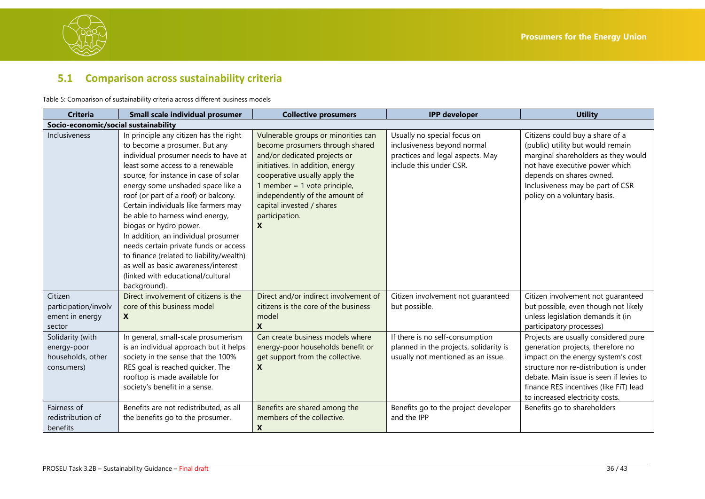

## **5.1 Comparison across sustainability criteria**

Table 5: Comparison of sustainability criteria across different business models

<span id="page-35-1"></span><span id="page-35-0"></span>

| <b>Criteria</b>                                                    | Small scale individual prosumer                                                                                                                                                                                                                                                                                                                                                                                                                                                                                                                                                                        | <b>Collective prosumers</b>                                                                                                                                                                                                                                                                       | <b>IPP</b> developer                                                                                                      | <b>Utility</b>                                                                                                                                                                                                                                                                    |  |
|--------------------------------------------------------------------|--------------------------------------------------------------------------------------------------------------------------------------------------------------------------------------------------------------------------------------------------------------------------------------------------------------------------------------------------------------------------------------------------------------------------------------------------------------------------------------------------------------------------------------------------------------------------------------------------------|---------------------------------------------------------------------------------------------------------------------------------------------------------------------------------------------------------------------------------------------------------------------------------------------------|---------------------------------------------------------------------------------------------------------------------------|-----------------------------------------------------------------------------------------------------------------------------------------------------------------------------------------------------------------------------------------------------------------------------------|--|
|                                                                    | Socio-economic/social sustainability                                                                                                                                                                                                                                                                                                                                                                                                                                                                                                                                                                   |                                                                                                                                                                                                                                                                                                   |                                                                                                                           |                                                                                                                                                                                                                                                                                   |  |
| Inclusiveness                                                      | In principle any citizen has the right<br>to become a prosumer. But any<br>individual prosumer needs to have at<br>least some access to a renewable<br>source, for instance in case of solar<br>energy some unshaded space like a<br>roof (or part of a roof) or balcony.<br>Certain individuals like farmers may<br>be able to harness wind energy,<br>biogas or hydro power.<br>In addition, an individual prosumer<br>needs certain private funds or access<br>to finance (related to liability/wealth)<br>as well as basic awareness/interest<br>(linked with educational/cultural<br>background). | Vulnerable groups or minorities can<br>become prosumers through shared<br>and/or dedicated projects or<br>initiatives. In addition, energy<br>cooperative usually apply the<br>1 member = 1 vote principle,<br>independently of the amount of<br>capital invested / shares<br>participation.<br>X | Usually no special focus on<br>inclusiveness beyond normal<br>practices and legal aspects. May<br>include this under CSR. | Citizens could buy a share of a<br>(public) utility but would remain<br>marginal shareholders as they would<br>not have executive power which<br>depends on shares owned.<br>Inclusiveness may be part of CSR<br>policy on a voluntary basis.                                     |  |
| Citizen<br>participation/involv<br>ement in energy<br>sector       | Direct involvement of citizens is the<br>core of this business model<br>$\boldsymbol{x}$                                                                                                                                                                                                                                                                                                                                                                                                                                                                                                               | Direct and/or indirect involvement of<br>citizens is the core of the business<br>model<br>X                                                                                                                                                                                                       | Citizen involvement not guaranteed<br>but possible.                                                                       | Citizen involvement not guaranteed<br>but possible, even though not likely<br>unless legislation demands it (in<br>participatory processes)                                                                                                                                       |  |
| Solidarity (with<br>energy-poor<br>households, other<br>consumers) | In general, small-scale prosumerism<br>is an individual approach but it helps<br>society in the sense that the 100%<br>RES goal is reached quicker. The<br>rooftop is made available for<br>society's benefit in a sense.                                                                                                                                                                                                                                                                                                                                                                              | Can create business models where<br>energy-poor households benefit or<br>get support from the collective.<br>X                                                                                                                                                                                    | If there is no self-consumption<br>planned in the projects, solidarity is<br>usually not mentioned as an issue.           | Projects are usually considered pure<br>generation projects, therefore no<br>impact on the energy system's cost<br>structure nor re-distribution is under<br>debate. Main issue is seen if levies to<br>finance RES incentives (like FiT) lead<br>to increased electricity costs. |  |
| Fairness of<br>redistribution of<br>benefits                       | Benefits are not redistributed, as all<br>the benefits go to the prosumer.                                                                                                                                                                                                                                                                                                                                                                                                                                                                                                                             | Benefits are shared among the<br>members of the collective.<br>X                                                                                                                                                                                                                                  | Benefits go to the project developer<br>and the IPP                                                                       | Benefits go to shareholders                                                                                                                                                                                                                                                       |  |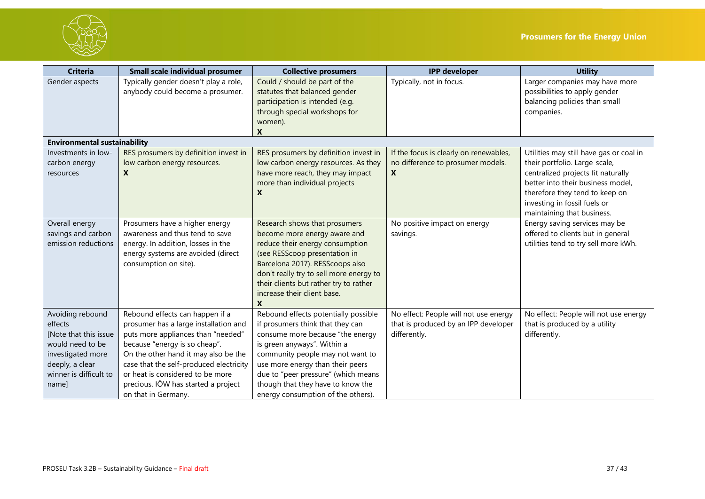



| <b>Criteria</b>                     | <b>Small scale individual prosumer</b>  | <b>Collective prosumers</b>             | <b>IPP</b> developer                   | <b>Utility</b>                          |
|-------------------------------------|-----------------------------------------|-----------------------------------------|----------------------------------------|-----------------------------------------|
| Gender aspects                      | Typically gender doesn't play a role,   | Could / should be part of the           | Typically, not in focus.               | Larger companies may have more          |
|                                     | anybody could become a prosumer.        | statutes that balanced gender           |                                        | possibilities to apply gender           |
|                                     |                                         | participation is intended (e.g.         |                                        | balancing policies than small           |
|                                     |                                         | through special workshops for           |                                        | companies.                              |
|                                     |                                         | women).                                 |                                        |                                         |
|                                     |                                         | X                                       |                                        |                                         |
| <b>Environmental sustainability</b> |                                         |                                         |                                        |                                         |
| Investments in low-                 | RES prosumers by definition invest in   | RES prosumers by definition invest in   | If the focus is clearly on renewables, | Utilities may still have gas or coal in |
| carbon energy                       | low carbon energy resources.            | low carbon energy resources. As they    | no difference to prosumer models.      | their portfolio. Large-scale,           |
| resources                           | $\mathbf{x}$                            | have more reach, they may impact        | X                                      | centralized projects fit naturally      |
|                                     |                                         | more than individual projects           |                                        | better into their business model,       |
|                                     |                                         | X                                       |                                        | therefore they tend to keep on          |
|                                     |                                         |                                         |                                        | investing in fossil fuels or            |
|                                     |                                         |                                         |                                        | maintaining that business.              |
| Overall energy                      | Prosumers have a higher energy          | Research shows that prosumers           | No positive impact on energy           | Energy saving services may be           |
| savings and carbon                  | awareness and thus tend to save         | become more energy aware and            | savings.                               | offered to clients but in general       |
| emission reductions                 | energy. In addition, losses in the      | reduce their energy consumption         |                                        | utilities tend to try sell more kWh.    |
|                                     | energy systems are avoided (direct      | (see RESScoop presentation in           |                                        |                                         |
|                                     | consumption on site).                   | Barcelona 2017). RESScoops also         |                                        |                                         |
|                                     |                                         | don't really try to sell more energy to |                                        |                                         |
|                                     |                                         | their clients but rather try to rather  |                                        |                                         |
|                                     |                                         | increase their client base.             |                                        |                                         |
|                                     |                                         | X                                       |                                        |                                         |
| Avoiding rebound                    | Rebound effects can happen if a         | Rebound effects potentially possible    | No effect: People will not use energy  | No effect: People will not use energy   |
| effects                             | prosumer has a large installation and   | if prosumers think that they can        | that is produced by an IPP developer   | that is produced by a utility           |
| [Note that this issue]              | puts more appliances than "needed"      | consume more because "the energy        | differently.                           | differently.                            |
| would need to be                    | because "energy is so cheap".           | is green anyways". Within a             |                                        |                                         |
| investigated more                   | On the other hand it may also be the    | community people may not want to        |                                        |                                         |
| deeply, a clear                     | case that the self-produced electricity | use more energy than their peers        |                                        |                                         |
| winner is difficult to              | or heat is considered to be more        | due to "peer pressure" (which means     |                                        |                                         |
| name]                               | precious. IÖW has started a project     | though that they have to know the       |                                        |                                         |
|                                     | on that in Germany.                     | energy consumption of the others).      |                                        |                                         |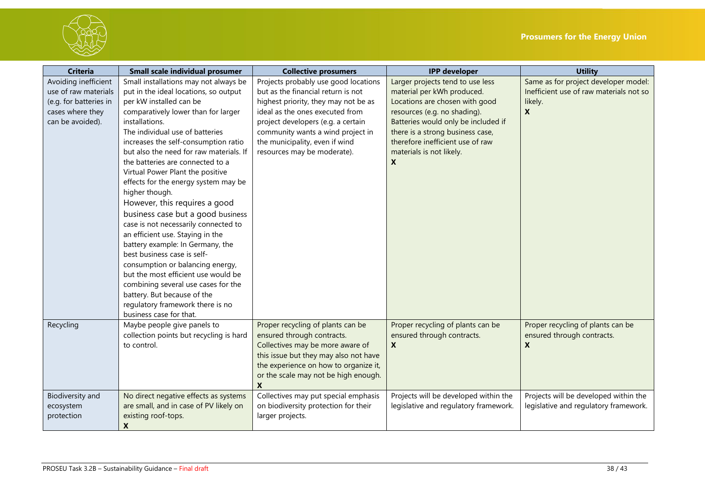

| <b>Criteria</b>                                                                                                | <b>Small scale individual prosumer</b>                                                                                                                                                                                                                                                                                                                                                                                                                                                                                                                                                                                                                                                                                                                                                                                               | <b>Collective prosumers</b>                                                                                                                                                                                                                                                                       | <b>IPP</b> developer                                                                                                                                                                                                                                                                        | <b>Utility</b>                                                                                  |
|----------------------------------------------------------------------------------------------------------------|--------------------------------------------------------------------------------------------------------------------------------------------------------------------------------------------------------------------------------------------------------------------------------------------------------------------------------------------------------------------------------------------------------------------------------------------------------------------------------------------------------------------------------------------------------------------------------------------------------------------------------------------------------------------------------------------------------------------------------------------------------------------------------------------------------------------------------------|---------------------------------------------------------------------------------------------------------------------------------------------------------------------------------------------------------------------------------------------------------------------------------------------------|---------------------------------------------------------------------------------------------------------------------------------------------------------------------------------------------------------------------------------------------------------------------------------------------|-------------------------------------------------------------------------------------------------|
| Avoiding inefficient<br>use of raw materials<br>(e.g. for batteries in<br>cases where they<br>can be avoided). | Small installations may not always be<br>put in the ideal locations, so output<br>per kW installed can be<br>comparatively lower than for larger<br>installations.<br>The individual use of batteries<br>increases the self-consumption ratio<br>but also the need for raw materials. If<br>the batteries are connected to a<br>Virtual Power Plant the positive<br>effects for the energy system may be<br>higher though.<br>However, this requires a good<br>business case but a good business<br>case is not necessarily connected to<br>an efficient use. Staying in the<br>battery example: In Germany, the<br>best business case is self-<br>consumption or balancing energy,<br>but the most efficient use would be<br>combining several use cases for the<br>battery. But because of the<br>regulatory framework there is no | Projects probably use good locations<br>but as the financial return is not<br>highest priority, they may not be as<br>ideal as the ones executed from<br>project developers (e.g. a certain<br>community wants a wind project in<br>the municipality, even if wind<br>resources may be moderate). | Larger projects tend to use less<br>material per kWh produced.<br>Locations are chosen with good<br>resources (e.g. no shading).<br>Batteries would only be included if<br>there is a strong business case,<br>therefore inefficient use of raw<br>materials is not likely.<br>$\mathbf{x}$ | Same as for project developer model:<br>Inefficient use of raw materials not so<br>likely.<br>X |
| Recycling                                                                                                      | business case for that.<br>Maybe people give panels to<br>collection points but recycling is hard<br>to control.                                                                                                                                                                                                                                                                                                                                                                                                                                                                                                                                                                                                                                                                                                                     | Proper recycling of plants can be<br>ensured through contracts.<br>Collectives may be more aware of<br>this issue but they may also not have<br>the experience on how to organize it,<br>or the scale may not be high enough.<br>X                                                                | Proper recycling of plants can be<br>ensured through contracts.<br>$\mathbf{x}$                                                                                                                                                                                                             | Proper recycling of plants can be<br>ensured through contracts.<br>X                            |
| Biodiversity and<br>ecosystem<br>protection                                                                    | No direct negative effects as systems<br>are small, and in case of PV likely on<br>existing roof-tops.<br>X                                                                                                                                                                                                                                                                                                                                                                                                                                                                                                                                                                                                                                                                                                                          | Collectives may put special emphasis<br>on biodiversity protection for their<br>larger projects.                                                                                                                                                                                                  | Projects will be developed within the<br>legislative and regulatory framework.                                                                                                                                                                                                              | Projects will be developed within the<br>legislative and regulatory framework.                  |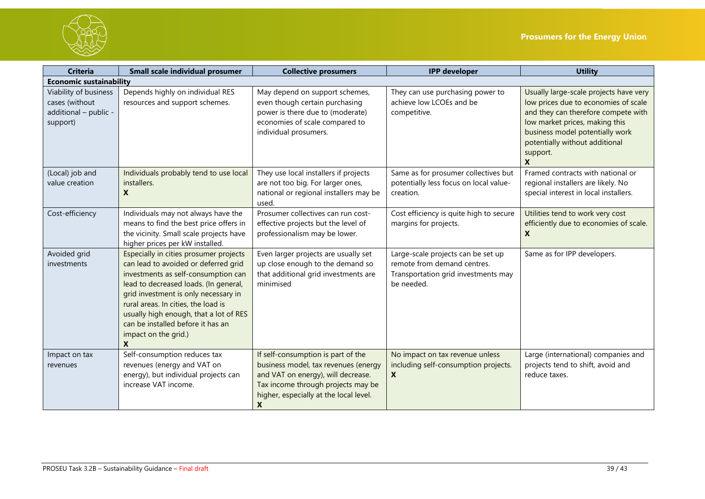

| <b>Criteria</b>                                                              | <b>Small scale individual prosumer</b>                                                                                                                                                                                                                                                                                                                    | <b>Collective prosumers</b>                                                                                                                                                                           | <b>IPP</b> developer                                                                                                   | <b>Utility</b>                                                                                                                                                                                                                                |
|------------------------------------------------------------------------------|-----------------------------------------------------------------------------------------------------------------------------------------------------------------------------------------------------------------------------------------------------------------------------------------------------------------------------------------------------------|-------------------------------------------------------------------------------------------------------------------------------------------------------------------------------------------------------|------------------------------------------------------------------------------------------------------------------------|-----------------------------------------------------------------------------------------------------------------------------------------------------------------------------------------------------------------------------------------------|
| <b>Economic sustainability</b>                                               |                                                                                                                                                                                                                                                                                                                                                           |                                                                                                                                                                                                       |                                                                                                                        |                                                                                                                                                                                                                                               |
| Viability of business<br>cases (without<br>additional - public -<br>support) | Depends highly on individual RES<br>resources and support schemes.                                                                                                                                                                                                                                                                                        | May depend on support schemes,<br>even though certain purchasing<br>power is there due to (moderate)<br>economies of scale compared to<br>individual prosumers.                                       | They can use purchasing power to<br>achieve low LCOEs and be<br>competitive.                                           | Usually large-scale projects have very<br>low prices due to economies of scale<br>and they can therefore compete with<br>low market prices, making this<br>business model potentially work<br>potentially without additional<br>support.<br>X |
| (Local) job and<br>value creation                                            | Individuals probably tend to use local<br>installers.<br>X                                                                                                                                                                                                                                                                                                | They use local installers if projects<br>are not too big. For larger ones,<br>national or regional installers may be<br>used.                                                                         | Same as for prosumer collectives but<br>potentially less focus on local value-<br>creation.                            | Framed contracts with national or<br>regional installers are likely. No<br>special interest in local installers.                                                                                                                              |
| Cost-efficiency                                                              | Individuals may not always have the<br>means to find the best price offers in<br>the vicinity. Small scale projects have<br>higher prices per kW installed.                                                                                                                                                                                               | Prosumer collectives can run cost-<br>effective projects but the level of<br>professionalism may be lower.                                                                                            | Cost efficiency is quite high to secure<br>margins for projects.                                                       | Utilities tend to work very cost<br>efficiently due to economies of scale.<br>X                                                                                                                                                               |
| Avoided grid<br>investments                                                  | Especially in cities prosumer projects<br>can lead to avoided or deferred grid<br>investments as self-consumption can<br>lead to decreased loads. (In general,<br>grid investment is only necessary in<br>rural areas. In cities, the load is<br>usually high enough, that a lot of RES<br>can be installed before it has an<br>impact on the grid.)<br>X | Even larger projects are usually set<br>up close enough to the demand so<br>that additional grid investments are<br>minimised                                                                         | Large-scale projects can be set up<br>remote from demand centres.<br>Transportation grid investments may<br>be needed. | Same as for IPP developers.                                                                                                                                                                                                                   |
| Impact on tax<br>revenues                                                    | Self-consumption reduces tax<br>revenues (energy and VAT on<br>energy), but individual projects can<br>increase VAT income.                                                                                                                                                                                                                               | If self-consumption is part of the<br>business model, tax revenues (energy<br>and VAT on energy), will decrease.<br>Tax income through projects may be<br>higher, especially at the local level.<br>X | No impact on tax revenue unless<br>including self-consumption projects.<br>X                                           | Large (international) companies and<br>projects tend to shift, avoid and<br>reduce taxes.                                                                                                                                                     |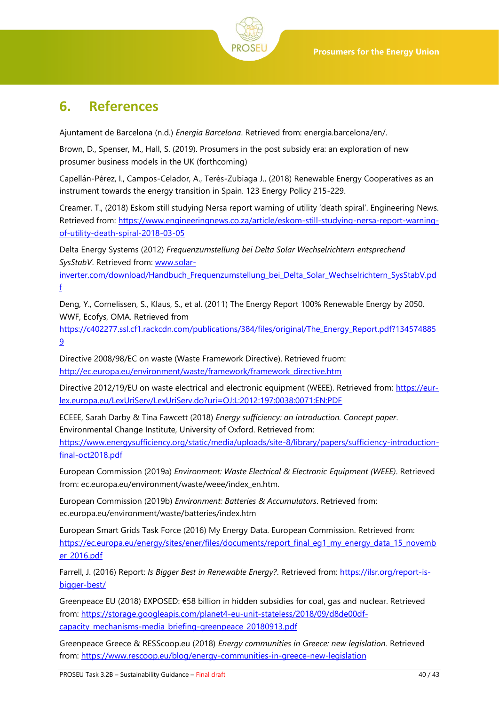

# <span id="page-39-0"></span>**6. References**

Ajuntament de Barcelona (n.d.) *Energia Barcelona*. Retrieved from: energia.barcelona/en/.

Brown, D., Spenser, M., Hall, S. (2019). Prosumers in the post subsidy era: an exploration of new prosumer business models in the UK (forthcoming)

Capellán-Pérez, I., Campos-Celador, A., Terés-Zubiaga J., (2018) Renewable Energy Cooperatives as an instrument towards the energy transition in Spain. 123 Energy Policy 215-229.

Creamer, T., (2018) Eskom still studying Nersa report warning of utility 'death spiral'. Engineering News. Retrieved from: [https://www.engineeringnews.co.za/article/eskom-still-studying-nersa-report-warning](https://www.engineeringnews.co.za/article/eskom-still-studying-nersa-report-warning-of-utility-death-spiral-2018-03-05)[of-utility-death-spiral-2018-03-05](https://www.engineeringnews.co.za/article/eskom-still-studying-nersa-report-warning-of-utility-death-spiral-2018-03-05)

Delta Energy Systems (2012) *Frequenzumstellung bei Delta Solar Wechselrichtern entsprechend SysStabV*. Retrieved from: [www.solar-](http://www.solar-inverter.com/download/Handbuch_Frequenzumstellung_bei_Delta_Solar_Wechselrichtern_SysStabV.pdf)

[inverter.com/download/Handbuch\\_Frequenzumstellung\\_bei\\_Delta\\_Solar\\_Wechselrichtern\\_SysStabV.pd](http://www.solar-inverter.com/download/Handbuch_Frequenzumstellung_bei_Delta_Solar_Wechselrichtern_SysStabV.pdf) [f](http://www.solar-inverter.com/download/Handbuch_Frequenzumstellung_bei_Delta_Solar_Wechselrichtern_SysStabV.pdf)

Deng, Y., Cornelissen, S., Klaus, S., et al. (2011) The Energy Report 100% Renewable Energy by 2050. WWF, Ecofys, OMA. Retrieved from

[https://c402277.ssl.cf1.rackcdn.com/publications/384/files/original/The\\_Energy\\_Report.pdf?134574885](https://c402277.ssl.cf1.rackcdn.com/publications/384/files/original/The_Energy_Report.pdf?1345748859) [9](https://c402277.ssl.cf1.rackcdn.com/publications/384/files/original/The_Energy_Report.pdf?1345748859)

Directive 2008/98/EC on waste (Waste Framework Directive). Retrieved fruom: [http://ec.europa.eu/environment/waste/framework/framework\\_directive.htm](http://ec.europa.eu/environment/waste/framework/framework_directive.htm)

Directive 2012/19/EU on waste electrical and electronic equipment (WEEE). Retrieved from: [https://eur](https://eur-lex.europa.eu/LexUriServ/LexUriServ.do?uri=OJ:L:2012:197:0038:0071:EN:PDF)[lex.europa.eu/LexUriServ/LexUriServ.do?uri=OJ:L:2012:197:0038:0071:EN:PDF](https://eur-lex.europa.eu/LexUriServ/LexUriServ.do?uri=OJ:L:2012:197:0038:0071:EN:PDF)

ECEEE, Sarah Darby & Tina Fawcett (2018) *Energy sufficiency: an introduction. Concept paper*. Environmental Change Institute, University of Oxford. Retrieved from: [https://www.energysufficiency.org/static/media/uploads/site-8/library/papers/sufficiency-introduction-](https://www.energysufficiency.org/static/media/uploads/site-8/library/papers/sufficiency-introduction-final-oct2018.pdf)

[final-oct2018.pdf](https://www.energysufficiency.org/static/media/uploads/site-8/library/papers/sufficiency-introduction-final-oct2018.pdf)

European Commission (2019a) *Environment: Waste Electrical & Electronic Equipment (WEEE)*. Retrieved from: ec.europa.eu/environment/waste/weee/index\_en.htm.

European Commission (2019b) *Environment: Batteries & Accumulators*. Retrieved from: ec.europa.eu/environment/waste/batteries/index.htm

European Smart Grids Task Force (2016) My Energy Data. European Commission. Retrieved from: [https://ec.europa.eu/energy/sites/ener/files/documents/report\\_final\\_eg1\\_my\\_energy\\_data\\_15\\_novemb](https://ec.europa.eu/energy/sites/ener/files/documents/report_final_eg1_my_energy_data_15_november_2016.pdf) [er\\_2016.pdf](https://ec.europa.eu/energy/sites/ener/files/documents/report_final_eg1_my_energy_data_15_november_2016.pdf)

Farrell, J. (2016) Report: *Is Bigger Best in Renewable Energy?*. Retrieved from: [https://ilsr.org/report-is](https://ilsr.org/report-is-bigger-best/)[bigger-best/](https://ilsr.org/report-is-bigger-best/)

Greenpeace EU (2018) EXPOSED: €58 billion in hidden subsidies for coal, gas and nuclear. Retrieved from: [https://storage.googleapis.com/planet4-eu-unit-stateless/2018/09/d8de00df](https://storage.googleapis.com/planet4-eu-unit-stateless/2018/09/d8de00df-capacity_mechanisms-media_briefing-greenpeace_20180913.pdf)[capacity\\_mechanisms-media\\_briefing-greenpeace\\_20180913.pdf](https://storage.googleapis.com/planet4-eu-unit-stateless/2018/09/d8de00df-capacity_mechanisms-media_briefing-greenpeace_20180913.pdf)

Greenpeace Greece & RESScoop.eu (2018) *Energy communities in Greece: new legislation*. Retrieved from:<https://www.rescoop.eu/blog/energy-communities-in-greece-new-legislation>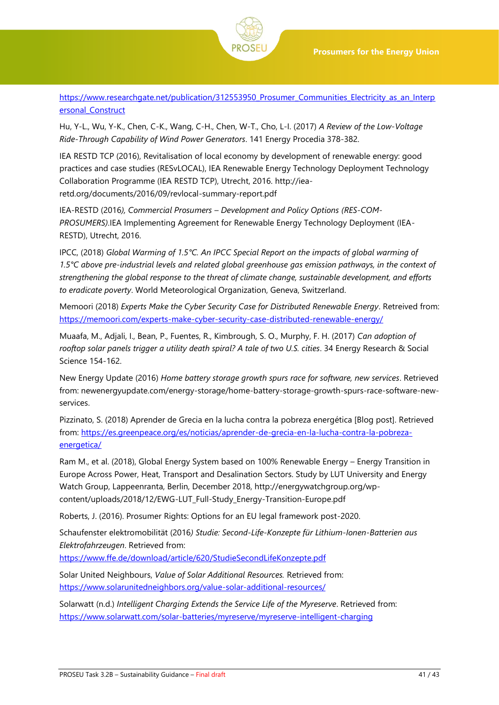

[https://www.researchgate.net/publication/312553950\\_Prosumer\\_Communities\\_Electricity\\_as\\_an\\_Interp](https://www.researchgate.net/publication/312553950_Prosumer_Communities_Electricity_as_an_Interpersonal_Construct) [ersonal\\_Construct](https://www.researchgate.net/publication/312553950_Prosumer_Communities_Electricity_as_an_Interpersonal_Construct)

Hu, Y-L., Wu, Y-K., Chen, C-K., Wang, C-H., Chen, W-T., Cho, L-I. (2017) *A Review of the Low-Voltage Ride-Through Capability of Wind Power Generators*. 141 Energy Procedia 378-382.

IEA RESTD TCP (2016), Revitalisation of local economy by development of renewable energy: good practices and case studies (RESvLOCAL), IEA Renewable Energy Technology Deployment Technology Collaboration Programme (IEA RESTD TCP), Utrecht, 2016. [http://iea](http://iea-retd.org/documents/2016/09/revlocal-summary-report.pdf)[retd.org/documents/2016/09/revlocal-summary-report.pdf](http://iea-retd.org/documents/2016/09/revlocal-summary-report.pdf)

IEA-RESTD (2016*), Commercial Prosumers – Development and Policy Options (RES-COM-PROSUMERS)*.IEA Implementing Agreement for Renewable Energy Technology Deployment (IEA-RESTD), Utrecht, 2016.

IPCC, (2018) *Global Warming of 1.5°C. An IPCC Special Report on the impacts of global warming of 1.5°C above pre-industrial levels and related global greenhouse gas emission pathways, in the context of strengthening the global response to the threat of climate change, sustainable development, and efforts to eradicate poverty*. World Meteorological Organization, Geneva, Switzerland.

Memoori (2018) *Experts Make the Cyber Security Case for Distributed Renewable Energy*. Retreived from: <https://memoori.com/experts-make-cyber-security-case-distributed-renewable-energy/>

Muaafa, M., Adjali, I., Bean, P., Fuentes, R., Kimbrough, S. O., Murphy, F. H. (2017) *Can adoption of*  rooftop solar panels trigger a utility death spiral? A tale of two U.S. cities. 34 Energy Research & Social Science 154-162.

New Energy Update (2016) *Home battery storage growth spurs race for software, new services*. Retrieved from: newenergyupdate.com/energy-storage/home-battery-storage-growth-spurs-race-software-newservices.

Pizzinato, S. (2018) Aprender de Grecia en la lucha contra la pobreza energética [Blog post]. Retrieved from: [https://es.greenpeace.org/es/noticias/aprender-de-grecia-en-la-lucha-contra-la-pobreza](https://es.greenpeace.org/es/noticias/aprender-de-grecia-en-la-lucha-contra-la-pobreza-energetica/)[energetica/](https://es.greenpeace.org/es/noticias/aprender-de-grecia-en-la-lucha-contra-la-pobreza-energetica/)

Ram M., et al. (2018), Global Energy System based on 100% Renewable Energy – Energy Transition in Europe Across Power, Heat, Transport and Desalination Sectors. Study by LUT University and Energy Watch Group, Lappeenranta, Berlin, December 2018, http://energywatchgroup.org/wpcontent/uploads/2018/12/EWG-LUT\_Full-Study\_Energy-Transition-Europe.pdf

Roberts, J. (2016). Prosumer Rights: Options for an EU legal framework post-2020.

Schaufenster elektromobilität (2016*) Studie: Second-Life-Konzepte für Lithium-Ionen-Batterien aus Elektrofahrzeugen*. Retrieved from:

<https://www.ffe.de/download/article/620/StudieSecondLifeKonzepte.pdf>

Solar United Neighbours, *Value of Solar Additional Resources.* Retrieved from: <https://www.solarunitedneighbors.org/value-solar-additional-resources/>

Solarwatt (n.d.) *Intelligent Charging Extends the Service Life of the Myreserve*. Retrieved from: <https://www.solarwatt.com/solar-batteries/myreserve/myreserve-intelligent-charging>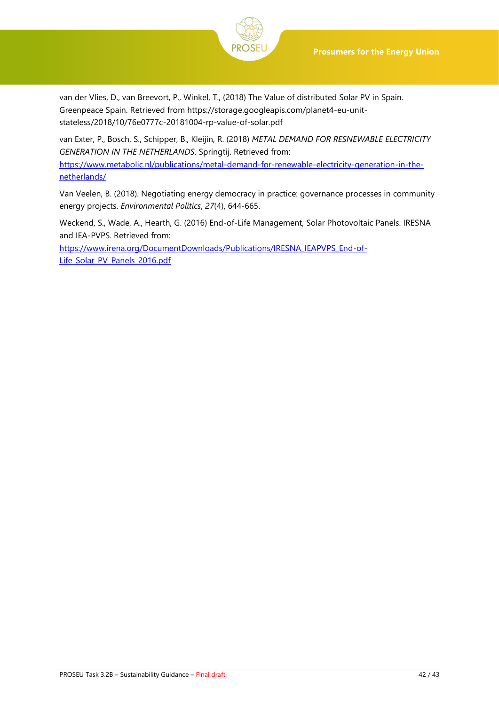



van der Vlies, D., van Breevort, P., Winkel, T., (2018) The Value of distributed Solar PV in Spain. Greenpeace Spain. Retrieved from https://storage.googleapis.com/planet4-eu-unitstateless/2018/10/76e0777c-20181004-rp-value-of-solar.pdf

van Exter, P., Bosch, S., Schipper, B., Kleijin, R. (2018) *METAL DEMAND FOR RESNEWABLE ELECTRICITY GENERATION IN THE NETHERLANDS*. Springtij. Retrieved from: [https://www.metabolic.nl/publications/metal-demand-for-renewable-electricity-generation-in-the](https://www.metabolic.nl/publications/metal-demand-for-renewable-electricity-generation-in-the-netherlands/)[netherlands/](https://www.metabolic.nl/publications/metal-demand-for-renewable-electricity-generation-in-the-netherlands/)

Van Veelen, B. (2018). Negotiating energy democracy in practice: governance processes in community energy projects. *Environmental Politics*, *27*(4), 644-665.

Weckend, S., Wade, A., Hearth, G. (2016) End-of-Life Management, Solar Photovoltaic Panels. IRESNA and IEA-PVPS. Retrieved from:

[https://www.irena.org/DocumentDownloads/Publications/IRESNA\\_IEAPVPS\\_End-of-](https://www.irena.org/DocumentDownloads/Publications/IRENA_IEAPVPS_End-of-Life_Solar_PV_Panels_2016.pdf)[Life\\_Solar\\_PV\\_Panels\\_2016.pdf](https://www.irena.org/DocumentDownloads/Publications/IRENA_IEAPVPS_End-of-Life_Solar_PV_Panels_2016.pdf)